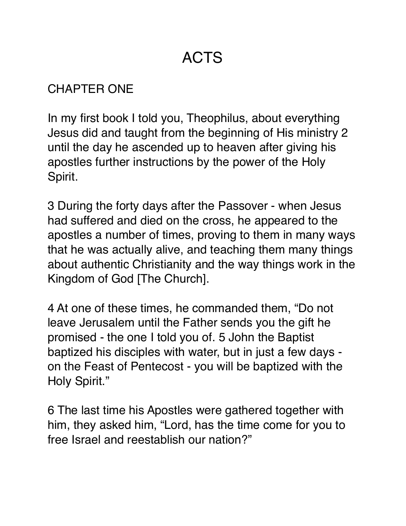# ACTS

#### CHAPTER ONE

In my first book I told you, Theophilus, about everything Jesus did and taught from the beginning of His ministry 2 until the day he ascended up to heaven after giving his apostles further instructions by the power of the Holy Spirit.

3 During the forty days after the Passover - when Jesus had suffered and died on the cross, he appeared to the apostles a number of times, proving to them in many ways that he was actually alive, and teaching them many things about authentic Christianity and the way things work in the Kingdom of God [The Church].

4 At one of these times, he commanded them, "Do not leave Jerusalem until the Father sends you the gift he promised - the one I told you of. 5 John the Baptist baptized his disciples with water, but in just a few days on the Feast of Pentecost - you will be baptized with the Holy Spirit."

6 The last time his Apostles were gathered together with him, they asked him, "Lord, has the time come for you to free Israel and reestablish our nation?"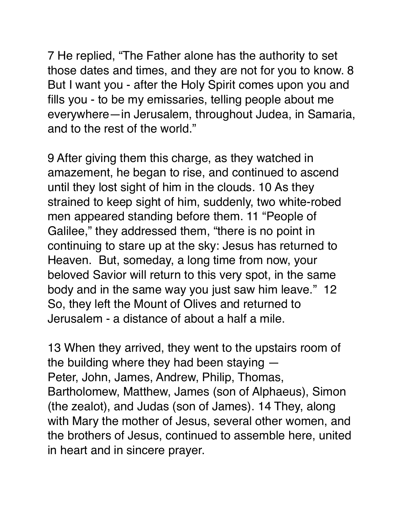7 He replied, "The Father alone has the authority to set those dates and times, and they are not for you to know. 8 But I want you - after the Holy Spirit comes upon you and fills you - to be my emissaries, telling people about me everywhere—in Jerusalem, throughout Judea, in Samaria, and to the rest of the world."

9 After giving them this charge, as they watched in amazement, he began to rise, and continued to ascend until they lost sight of him in the clouds. 10 As they strained to keep sight of him, suddenly, two white-robed men appeared standing before them. 11 "People of Galilee," they addressed them, "there is no point in continuing to stare up at the sky: Jesus has returned to Heaven. But, someday, a long time from now, your beloved Savior will return to this very spot, in the same body and in the same way you just saw him leave." 12 So, they left the Mount of Olives and returned to Jerusalem - a distance of about a half a mile.

13 When they arrived, they went to the upstairs room of the building where they had been staying — Peter, John, James, Andrew, Philip, Thomas, Bartholomew, Matthew, James (son of Alphaeus), Simon (the zealot), and Judas (son of James). 14 They, along with Mary the mother of Jesus, several other women, and the brothers of Jesus, continued to assemble here, united in heart and in sincere prayer.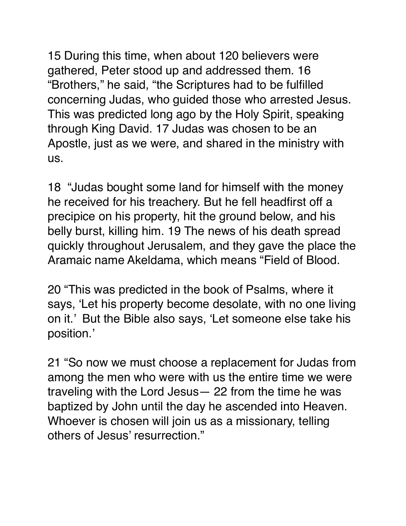15 During this time, when about 120 believers were gathered, Peter stood up and addressed them. 16 "Brothers," he said, "the Scriptures had to be fulfilled concerning Judas, who guided those who arrested Jesus. This was predicted long ago by the Holy Spirit, speaking through King David. 17 Judas was chosen to be an Apostle, just as we were, and shared in the ministry with us.

18 "Judas bought some land for himself with the money he received for his treachery. But he fell headfirst off a precipice on his property, hit the ground below, and his belly burst, killing him. 19 The news of his death spread quickly throughout Jerusalem, and they gave the place the Aramaic name Akeldama, which means "Field of Blood.

20 "This was predicted in the book of Psalms, where it says, 'Let his property become desolate, with no one living on it.' But the Bible also says, 'Let someone else take his position.'

21 "So now we must choose a replacement for Judas from among the men who were with us the entire time we were traveling with the Lord Jesus— 22 from the time he was baptized by John until the day he ascended into Heaven. Whoever is chosen will join us as a missionary, telling others of Jesus' resurrection."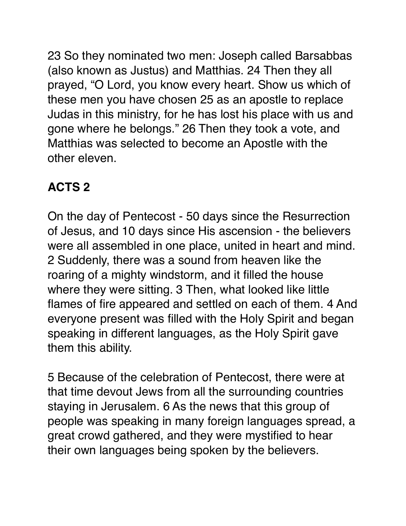23 So they nominated two men: Joseph called Barsabbas (also known as Justus) and Matthias. 24 Then they all prayed, "O Lord, you know every heart. Show us which of these men you have chosen 25 as an apostle to replace Judas in this ministry, for he has lost his place with us and gone where he belongs." 26 Then they took a vote, and Matthias was selected to become an Apostle with the other eleven.

#### **ACTS 2**

On the day of Pentecost - 50 days since the Resurrection of Jesus, and 10 days since His ascension - the believers were all assembled in one place, united in heart and mind. 2 Suddenly, there was a sound from heaven like the roaring of a mighty windstorm, and it filled the house where they were sitting. 3 Then, what looked like little flames of fire appeared and settled on each of them. 4 And everyone present was filled with the Holy Spirit and began speaking in different languages, as the Holy Spirit gave them this ability.

5 Because of the celebration of Pentecost, there were at that time devout Jews from all the surrounding countries staying in Jerusalem. 6 As the news that this group of people was speaking in many foreign languages spread, a great crowd gathered, and they were mystified to hear their own languages being spoken by the believers.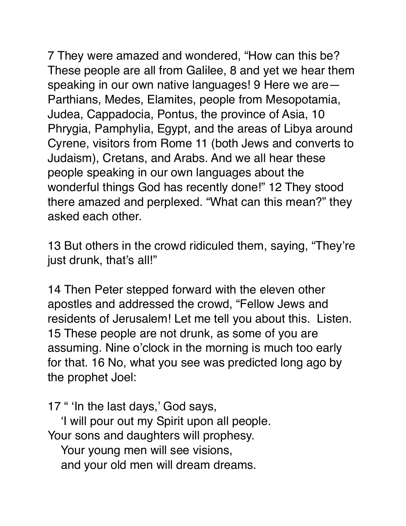7 They were amazed and wondered, "How can this be? These people are all from Galilee, 8 and yet we hear them speaking in our own native languages! 9 Here we are— Parthians, Medes, Elamites, people from Mesopotamia, Judea, Cappadocia, Pontus, the province of Asia, 10 Phrygia, Pamphylia, Egypt, and the areas of Libya around Cyrene, visitors from Rome 11 (both Jews and converts to Judaism), Cretans, and Arabs. And we all hear these people speaking in our own languages about the wonderful things God has recently done!" 12 They stood there amazed and perplexed. "What can this mean?" they asked each other.

13 But others in the crowd ridiculed them, saying, "They're just drunk, that's all!"

14 Then Peter stepped forward with the eleven other apostles and addressed the crowd, "Fellow Jews and residents of Jerusalem! Let me tell you about this. Listen. 15 These people are not drunk, as some of you are assuming. Nine o'clock in the morning is much too early for that. 16 No, what you see was predicted long ago by the prophet Joel:

17 " 'In the last days,' God says,

 'I will pour out my Spirit upon all people. Your sons and daughters will prophesy. Your young men will see visions,

and your old men will dream dreams.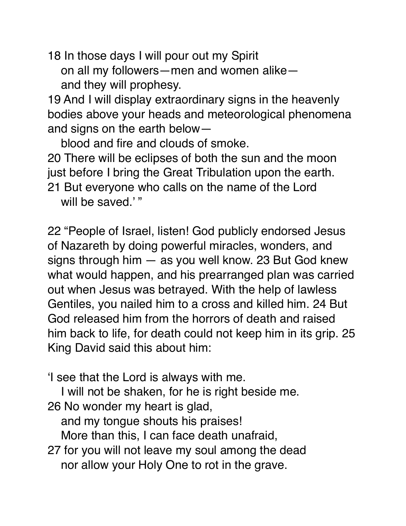18 In those days I will pour out my Spirit

 on all my followers—men and women alike and they will prophesy.

19 And I will display extraordinary signs in the heavenly bodies above your heads and meteorological phenomena and signs on the earth below—

 blood and fire and clouds of smoke. 20 There will be eclipses of both the sun and the moon just before I bring the Great Tribulation upon the earth. 21 But everyone who calls on the name of the Lord will be saved."

22 "People of Israel, listen! God publicly endorsed Jesus of Nazareth by doing powerful miracles, wonders, and signs through him — as you well know. 23 But God knew what would happen, and his prearranged plan was carried out when Jesus was betrayed. With the help of lawless Gentiles, you nailed him to a cross and killed him. 24 But God released him from the horrors of death and raised him back to life, for death could not keep him in its grip. 25 King David said this about him:

'I see that the Lord is always with me.

I will not be shaken, for he is right beside me.

26 No wonder my heart is glad,

and my tongue shouts his praises!

More than this, I can face death unafraid,

27 for you will not leave my soul among the dead nor allow your Holy One to rot in the grave.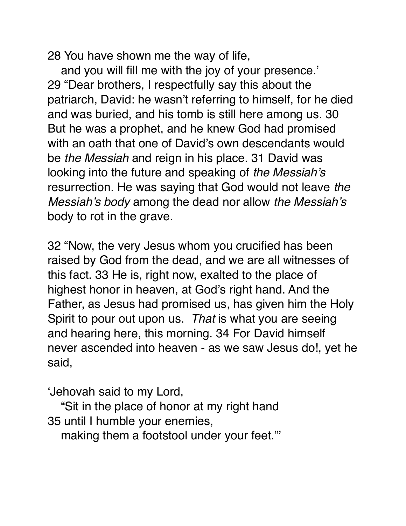28 You have shown me the way of life,

 and you will fill me with the joy of your presence.' 29 "Dear brothers, I respectfully say this about the patriarch, David: he wasn't referring to himself, for he died and was buried, and his tomb is still here among us. 30 But he was a prophet, and he knew God had promised with an oath that one of David's own descendants would be *the Messiah* and reign in his place. 31 David was looking into the future and speaking of *the Messiah's* resurrection. He was saying that God would not leave *the Messiah's body* among the dead nor allow *the Messiah's*  body to rot in the grave.

32 "Now, the very Jesus whom you crucified has been raised by God from the dead, and we are all witnesses of this fact. 33 He is, right now, exalted to the place of highest honor in heaven, at God's right hand. And the Father, as Jesus had promised us, has given him the Holy Spirit to pour out upon us. *That* is what you are seeing and hearing here, this morning. 34 For David himself never ascended into heaven - as we saw Jesus do!, yet he said,

'Jehovah said to my Lord,

 "Sit in the place of honor at my right hand 35 until I humble your enemies,

making them a footstool under your feet."'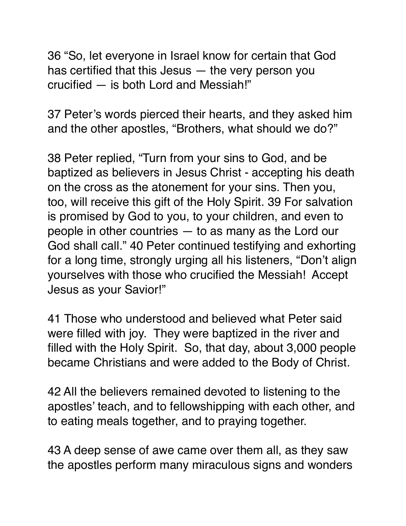36 "So, let everyone in Israel know for certain that God has certified that this Jesus — the very person you crucified — is both Lord and Messiah!"

37 Peter's words pierced their hearts, and they asked him and the other apostles, "Brothers, what should we do?"

38 Peter replied, "Turn from your sins to God, and be baptized as believers in Jesus Christ - accepting his death on the cross as the atonement for your sins. Then you, too, will receive this gift of the Holy Spirit. 39 For salvation is promised by God to you, to your children, and even to people in other countries — to as many as the Lord our God shall call." 40 Peter continued testifying and exhorting for a long time, strongly urging all his listeners, "Don't align yourselves with those who crucified the Messiah! Accept Jesus as your Savior!"

41 Those who understood and believed what Peter said were filled with joy. They were baptized in the river and filled with the Holy Spirit. So, that day, about 3,000 people became Christians and were added to the Body of Christ.

42 All the believers remained devoted to listening to the apostles' teach, and to fellowshipping with each other, and to eating meals together, and to praying together.

43 A deep sense of awe came over them all, as they saw the apostles perform many miraculous signs and wonders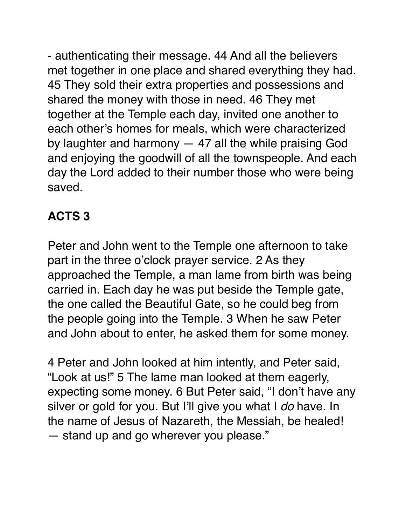- authenticating their message. 44 And all the believers met together in one place and shared everything they had. 45 They sold their extra properties and possessions and shared the money with those in need. 46 They met together at the Temple each day, invited one another to each other's homes for meals, which were characterized by laughter and harmony — 47 all the while praising God and enjoying the goodwill of all the townspeople. And each day the Lord added to their number those who were being saved.

# **ACTS 3**

Peter and John went to the Temple one afternoon to take part in the three o'clock prayer service. 2 As they approached the Temple, a man lame from birth was being carried in. Each day he was put beside the Temple gate, the one called the Beautiful Gate, so he could beg from the people going into the Temple. 3 When he saw Peter and John about to enter, he asked them for some money.

4 Peter and John looked at him intently, and Peter said, "Look at us!" 5 The lame man looked at them eagerly, expecting some money. 6 But Peter said, "I don't have any silver or gold for you. But I'll give you what I *do* have. In the name of Jesus of Nazareth, the Messiah, be healed! — stand up and go wherever you please."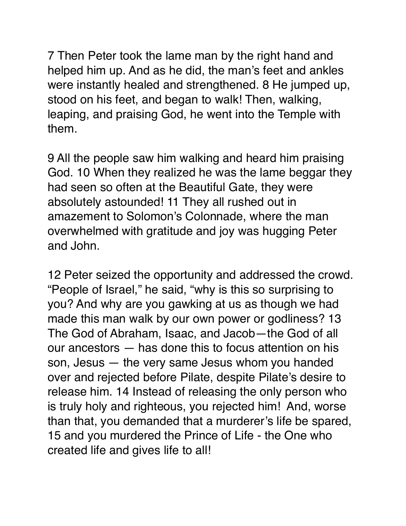7 Then Peter took the lame man by the right hand and helped him up. And as he did, the man's feet and ankles were instantly healed and strengthened. 8 He jumped up, stood on his feet, and began to walk! Then, walking, leaping, and praising God, he went into the Temple with them.

9 All the people saw him walking and heard him praising God. 10 When they realized he was the lame beggar they had seen so often at the Beautiful Gate, they were absolutely astounded! 11 They all rushed out in amazement to Solomon's Colonnade, where the man overwhelmed with gratitude and joy was hugging Peter and John.

12 Peter seized the opportunity and addressed the crowd. "People of Israel," he said, "why is this so surprising to you? And why are you gawking at us as though we had made this man walk by our own power or godliness? 13 The God of Abraham, Isaac, and Jacob—the God of all our ancestors — has done this to focus attention on his son, Jesus — the very same Jesus whom you handed over and rejected before Pilate, despite Pilate's desire to release him. 14 Instead of releasing the only person who is truly holy and righteous, you rejected him! And, worse than that, you demanded that a murderer's life be spared, 15 and you murdered the Prince of Life - the One who created life and gives life to all!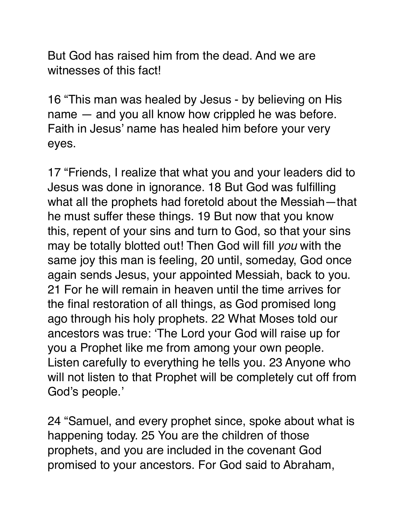But God has raised him from the dead. And we are witnesses of this fact!

16 "This man was healed by Jesus - by believing on His name — and you all know how crippled he was before. Faith in Jesus' name has healed him before your very eyes.

17 "Friends, I realize that what you and your leaders did to Jesus was done in ignorance. 18 But God was fulfilling what all the prophets had foretold about the Messiah—that he must suffer these things. 19 But now that you know this, repent of your sins and turn to God, so that your sins may be totally blotted out! Then God will fill *you* with the same joy this man is feeling, 20 until, someday, God once again sends Jesus, your appointed Messiah, back to you. 21 For he will remain in heaven until the time arrives for the final restoration of all things, as God promised long ago through his holy prophets. 22 What Moses told our ancestors was true: 'The Lord your God will raise up for you a Prophet like me from among your own people. Listen carefully to everything he tells you. 23 Anyone who will not listen to that Prophet will be completely cut off from God's people.'

24 "Samuel, and every prophet since, spoke about what is happening today. 25 You are the children of those prophets, and you are included in the covenant God promised to your ancestors. For God said to Abraham,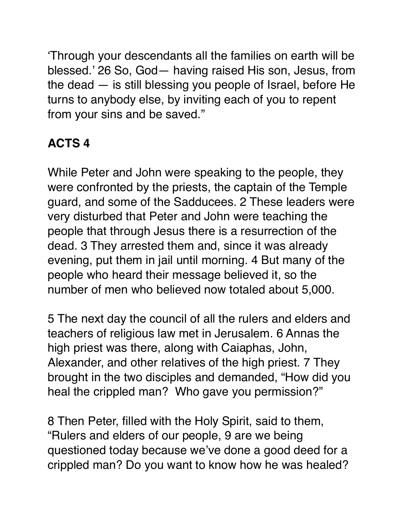'Through your descendants all the families on earth will be blessed.' 26 So, God— having raised His son, Jesus, from the dead — is still blessing you people of Israel, before He turns to anybody else, by inviting each of you to repent from your sins and be saved."

### **ACTS 4**

While Peter and John were speaking to the people, they were confronted by the priests, the captain of the Temple guard, and some of the Sadducees. 2 These leaders were very disturbed that Peter and John were teaching the people that through Jesus there is a resurrection of the dead. 3 They arrested them and, since it was already evening, put them in jail until morning. 4 But many of the people who heard their message believed it, so the number of men who believed now totaled about 5,000.

5 The next day the council of all the rulers and elders and teachers of religious law met in Jerusalem. 6 Annas the high priest was there, along with Caiaphas, John, Alexander, and other relatives of the high priest. 7 They brought in the two disciples and demanded, "How did you heal the crippled man? Who gave you permission?"

8 Then Peter, filled with the Holy Spirit, said to them, "Rulers and elders of our people, 9 are we being questioned today because we've done a good deed for a crippled man? Do you want to know how he was healed?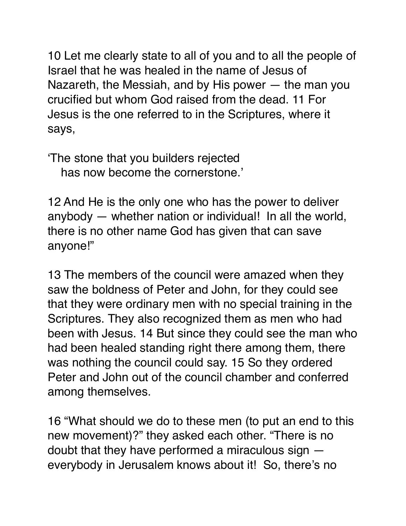10 Let me clearly state to all of you and to all the people of Israel that he was healed in the name of Jesus of Nazareth, the Messiah, and by His power — the man you crucified but whom God raised from the dead. 11 For Jesus is the one referred to in the Scriptures, where it says,

'The stone that you builders rejected has now become the cornerstone.'

12 And He is the only one who has the power to deliver anybody — whether nation or individual! In all the world, there is no other name God has given that can save anyone!"

13 The members of the council were amazed when they saw the boldness of Peter and John, for they could see that they were ordinary men with no special training in the Scriptures. They also recognized them as men who had been with Jesus. 14 But since they could see the man who had been healed standing right there among them, there was nothing the council could say. 15 So they ordered Peter and John out of the council chamber and conferred among themselves.

16 "What should we do to these men (to put an end to this new movement)?" they asked each other. "There is no doubt that they have performed a miraculous sign everybody in Jerusalem knows about it! So, there's no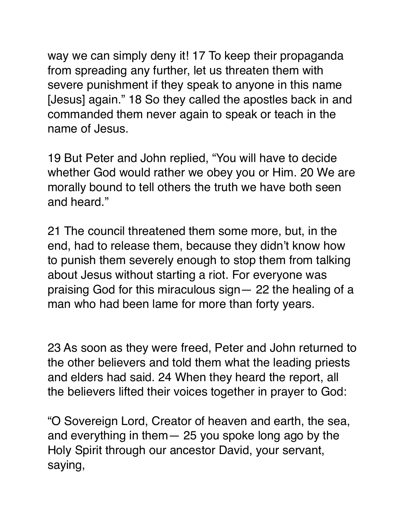way we can simply deny it! 17 To keep their propaganda from spreading any further, let us threaten them with severe punishment if they speak to anyone in this name [Jesus] again." 18 So they called the apostles back in and commanded them never again to speak or teach in the name of Jesus.

19 But Peter and John replied, "You will have to decide whether God would rather we obey you or Him. 20 We are morally bound to tell others the truth we have both seen and heard."

21 The council threatened them some more, but, in the end, had to release them, because they didn't know how to punish them severely enough to stop them from talking about Jesus without starting a riot. For everyone was praising God for this miraculous sign— 22 the healing of a man who had been lame for more than forty years.

23 As soon as they were freed, Peter and John returned to the other believers and told them what the leading priests and elders had said. 24 When they heard the report, all the believers lifted their voices together in prayer to God:

"O Sovereign Lord, Creator of heaven and earth, the sea, and everything in them— 25 you spoke long ago by the Holy Spirit through our ancestor David, your servant, saying,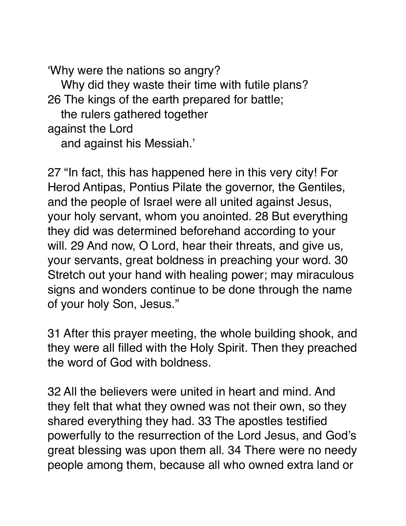'Why were the nations so angry? Why did they waste their time with futile plans? 26 The kings of the earth prepared for battle; the rulers gathered together against the Lord

and against his Messiah.'

27 "In fact, this has happened here in this very city! For Herod Antipas, Pontius Pilate the governor, the Gentiles, and the people of Israel were all united against Jesus, your holy servant, whom you anointed. 28 But everything they did was determined beforehand according to your will. 29 And now, O Lord, hear their threats, and give us, your servants, great boldness in preaching your word. 30 Stretch out your hand with healing power; may miraculous signs and wonders continue to be done through the name of your holy Son, Jesus."

31 After this prayer meeting, the whole building shook, and they were all filled with the Holy Spirit. Then they preached the word of God with boldness.

32 All the believers were united in heart and mind. And they felt that what they owned was not their own, so they shared everything they had. 33 The apostles testified powerfully to the resurrection of the Lord Jesus, and God's great blessing was upon them all. 34 There were no needy people among them, because all who owned extra land or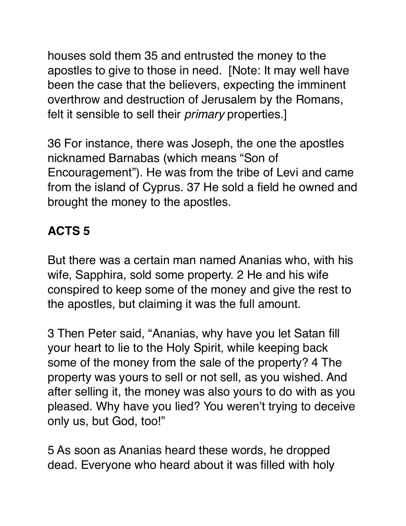houses sold them 35 and entrusted the money to the apostles to give to those in need. [Note: It may well have been the case that the believers, expecting the imminent overthrow and destruction of Jerusalem by the Romans, felt it sensible to sell their *primary* properties.]

36 For instance, there was Joseph, the one the apostles nicknamed Barnabas (which means "Son of Encouragement"). He was from the tribe of Levi and came from the island of Cyprus. 37 He sold a field he owned and brought the money to the apostles.

# **ACTS 5**

But there was a certain man named Ananias who, with his wife, Sapphira, sold some property. 2 He and his wife conspired to keep some of the money and give the rest to the apostles, but claiming it was the full amount.

3 Then Peter said, "Ananias, why have you let Satan fill your heart to lie to the Holy Spirit, while keeping back some of the money from the sale of the property? 4 The property was yours to sell or not sell, as you wished. And after selling it, the money was also yours to do with as you pleased. Why have you lied? You weren't trying to deceive only us, but God, too!"

5 As soon as Ananias heard these words, he dropped dead. Everyone who heard about it was filled with holy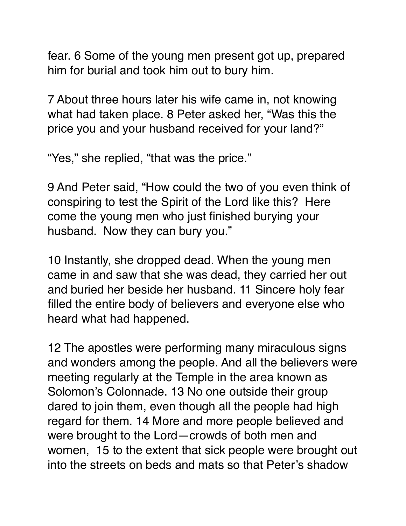fear. 6 Some of the young men present got up, prepared him for burial and took him out to bury him.

7 About three hours later his wife came in, not knowing what had taken place. 8 Peter asked her, "Was this the price you and your husband received for your land?"

"Yes," she replied, "that was the price."

9 And Peter said, "How could the two of you even think of conspiring to test the Spirit of the Lord like this? Here come the young men who just finished burying your husband. Now they can bury you."

10 Instantly, she dropped dead. When the young men came in and saw that she was dead, they carried her out and buried her beside her husband. 11 Sincere holy fear filled the entire body of believers and everyone else who heard what had happened.

12 The apostles were performing many miraculous signs and wonders among the people. And all the believers were meeting regularly at the Temple in the area known as Solomon's Colonnade. 13 No one outside their group dared to join them, even though all the people had high regard for them. 14 More and more people believed and were brought to the Lord—crowds of both men and women, 15 to the extent that sick people were brought out into the streets on beds and mats so that Peter's shadow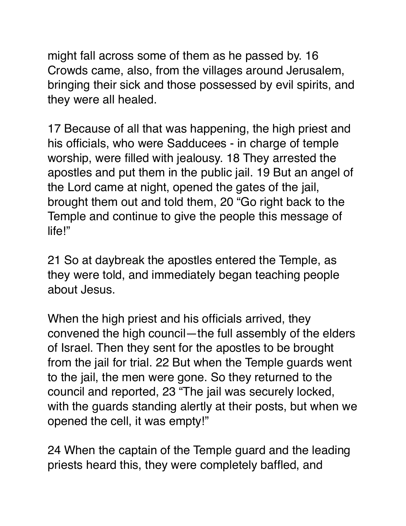might fall across some of them as he passed by. 16 Crowds came, also, from the villages around Jerusalem, bringing their sick and those possessed by evil spirits, and they were all healed.

17 Because of all that was happening, the high priest and his officials, who were Sadducees - in charge of temple worship, were filled with jealousy. 18 They arrested the apostles and put them in the public jail. 19 But an angel of the Lord came at night, opened the gates of the jail, brought them out and told them, 20 "Go right back to the Temple and continue to give the people this message of life!"

21 So at daybreak the apostles entered the Temple, as they were told, and immediately began teaching people about Jesus.

When the high priest and his officials arrived, they convened the high council—the full assembly of the elders of Israel. Then they sent for the apostles to be brought from the jail for trial. 22 But when the Temple guards went to the jail, the men were gone. So they returned to the council and reported, 23 "The jail was securely locked, with the guards standing alertly at their posts, but when we opened the cell, it was empty!"

24 When the captain of the Temple guard and the leading priests heard this, they were completely baffled, and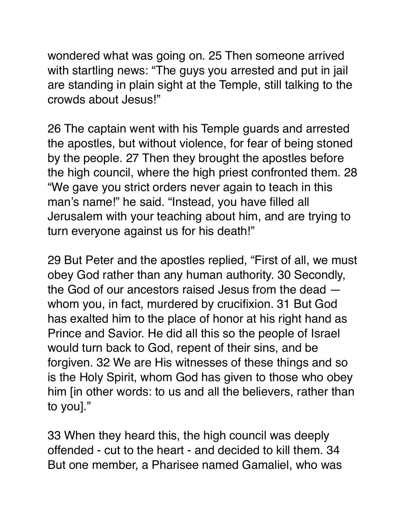wondered what was going on. 25 Then someone arrived with startling news: "The guys you arrested and put in jail are standing in plain sight at the Temple, still talking to the crowds about Jesus!"

26 The captain went with his Temple guards and arrested the apostles, but without violence, for fear of being stoned by the people. 27 Then they brought the apostles before the high council, where the high priest confronted them. 28 "We gave you strict orders never again to teach in this man's name!" he said. "Instead, you have filled all Jerusalem with your teaching about him, and are trying to turn everyone against us for his death!"

29 But Peter and the apostles replied, "First of all, we must obey God rather than any human authority. 30 Secondly, the God of our ancestors raised Jesus from the dead whom you, in fact, murdered by crucifixion. 31 But God has exalted him to the place of honor at his right hand as Prince and Savior. He did all this so the people of Israel would turn back to God, repent of their sins, and be forgiven. 32 We are His witnesses of these things and so is the Holy Spirit, whom God has given to those who obey him [in other words: to us and all the believers, rather than to you]."

33 When they heard this, the high council was deeply offended - cut to the heart - and decided to kill them. 34 But one member, a Pharisee named Gamaliel, who was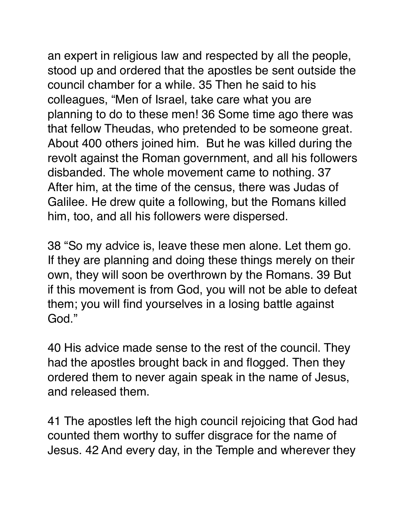an expert in religious law and respected by all the people, stood up and ordered that the apostles be sent outside the council chamber for a while. 35 Then he said to his colleagues, "Men of Israel, take care what you are planning to do to these men! 36 Some time ago there was that fellow Theudas, who pretended to be someone great. About 400 others joined him. But he was killed during the revolt against the Roman government, and all his followers disbanded. The whole movement came to nothing. 37 After him, at the time of the census, there was Judas of Galilee. He drew quite a following, but the Romans killed him, too, and all his followers were dispersed.

38 "So my advice is, leave these men alone. Let them go. If they are planning and doing these things merely on their own, they will soon be overthrown by the Romans. 39 But if this movement is from God, you will not be able to defeat them; you will find yourselves in a losing battle against God."

40 His advice made sense to the rest of the council. They had the apostles brought back in and flogged. Then they ordered them to never again speak in the name of Jesus, and released them.

41 The apostles left the high council rejoicing that God had counted them worthy to suffer disgrace for the name of Jesus. 42 And every day, in the Temple and wherever they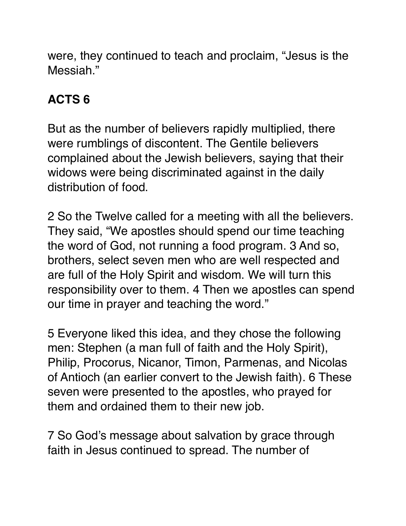were, they continued to teach and proclaim, "Jesus is the Messiah<sup>"</sup>

# **ACTS 6**

But as the number of believers rapidly multiplied, there were rumblings of discontent. The Gentile believers complained about the Jewish believers, saying that their widows were being discriminated against in the daily distribution of food.

2 So the Twelve called for a meeting with all the believers. They said, "We apostles should spend our time teaching the word of God, not running a food program. 3 And so, brothers, select seven men who are well respected and are full of the Holy Spirit and wisdom. We will turn this responsibility over to them. 4 Then we apostles can spend our time in prayer and teaching the word."

5 Everyone liked this idea, and they chose the following men: Stephen (a man full of faith and the Holy Spirit), Philip, Procorus, Nicanor, Timon, Parmenas, and Nicolas of Antioch (an earlier convert to the Jewish faith). 6 These seven were presented to the apostles, who prayed for them and ordained them to their new job.

7 So God's message about salvation by grace through faith in Jesus continued to spread. The number of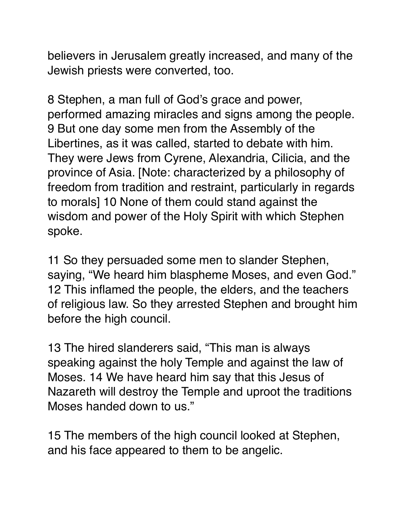believers in Jerusalem greatly increased, and many of the Jewish priests were converted, too.

8 Stephen, a man full of God's grace and power, performed amazing miracles and signs among the people. 9 But one day some men from the Assembly of the Libertines, as it was called, started to debate with him. They were Jews from Cyrene, Alexandria, Cilicia, and the province of Asia. [Note: characterized by a philosophy of freedom from tradition and restraint, particularly in regards to morals] 10 None of them could stand against the wisdom and power of the Holy Spirit with which Stephen spoke.

11 So they persuaded some men to slander Stephen, saying, "We heard him blaspheme Moses, and even God." 12 This inflamed the people, the elders, and the teachers of religious law. So they arrested Stephen and brought him before the high council.

13 The hired slanderers said, "This man is always speaking against the holy Temple and against the law of Moses. 14 We have heard him say that this Jesus of Nazareth will destroy the Temple and uproot the traditions Moses handed down to us."

15 The members of the high council looked at Stephen, and his face appeared to them to be angelic.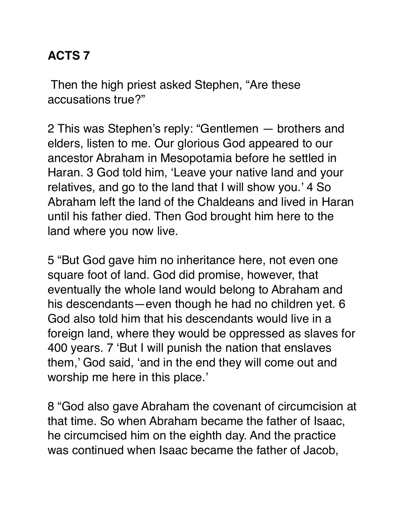### **ACTS 7**

 Then the high priest asked Stephen, "Are these accusations true?"

2 This was Stephen's reply: "Gentlemen — brothers and elders, listen to me. Our glorious God appeared to our ancestor Abraham in Mesopotamia before he settled in Haran. 3 God told him, 'Leave your native land and your relatives, and go to the land that I will show you.' 4 So Abraham left the land of the Chaldeans and lived in Haran until his father died. Then God brought him here to the land where you now live.

5 "But God gave him no inheritance here, not even one square foot of land. God did promise, however, that eventually the whole land would belong to Abraham and his descendants—even though he had no children yet. 6 God also told him that his descendants would live in a foreign land, where they would be oppressed as slaves for 400 years. 7 'But I will punish the nation that enslaves them,' God said, 'and in the end they will come out and worship me here in this place.'

8 "God also gave Abraham the covenant of circumcision at that time. So when Abraham became the father of Isaac, he circumcised him on the eighth day. And the practice was continued when Isaac became the father of Jacob,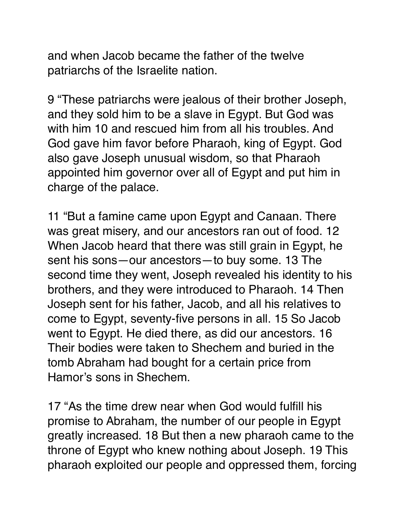and when Jacob became the father of the twelve patriarchs of the Israelite nation.

9 "These patriarchs were jealous of their brother Joseph, and they sold him to be a slave in Egypt. But God was with him 10 and rescued him from all his troubles. And God gave him favor before Pharaoh, king of Egypt. God also gave Joseph unusual wisdom, so that Pharaoh appointed him governor over all of Egypt and put him in charge of the palace.

11 "But a famine came upon Egypt and Canaan. There was great misery, and our ancestors ran out of food. 12 When Jacob heard that there was still grain in Egypt, he sent his sons—our ancestors—to buy some. 13 The second time they went, Joseph revealed his identity to his brothers, and they were introduced to Pharaoh. 14 Then Joseph sent for his father, Jacob, and all his relatives to come to Egypt, seventy-five persons in all. 15 So Jacob went to Egypt. He died there, as did our ancestors. 16 Their bodies were taken to Shechem and buried in the tomb Abraham had bought for a certain price from Hamor's sons in Shechem.

17 "As the time drew near when God would fulfill his promise to Abraham, the number of our people in Egypt greatly increased. 18 But then a new pharaoh came to the throne of Egypt who knew nothing about Joseph. 19 This pharaoh exploited our people and oppressed them, forcing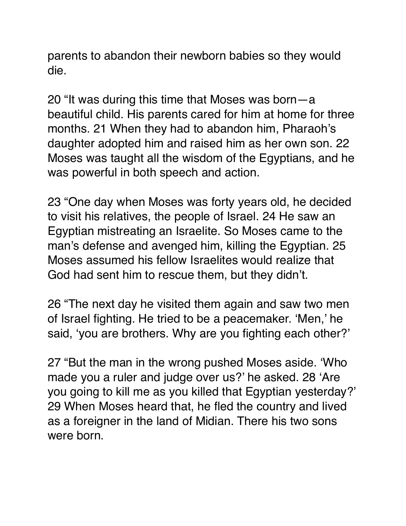parents to abandon their newborn babies so they would die.

20 "It was during this time that Moses was born—a beautiful child. His parents cared for him at home for three months. 21 When they had to abandon him, Pharaoh's daughter adopted him and raised him as her own son. 22 Moses was taught all the wisdom of the Egyptians, and he was powerful in both speech and action.

23 "One day when Moses was forty years old, he decided to visit his relatives, the people of Israel. 24 He saw an Egyptian mistreating an Israelite. So Moses came to the man's defense and avenged him, killing the Egyptian. 25 Moses assumed his fellow Israelites would realize that God had sent him to rescue them, but they didn't.

26 "The next day he visited them again and saw two men of Israel fighting. He tried to be a peacemaker. 'Men,' he said, 'you are brothers. Why are you fighting each other?'

27 "But the man in the wrong pushed Moses aside. 'Who made you a ruler and judge over us?' he asked. 28 'Are you going to kill me as you killed that Egyptian yesterday?' 29 When Moses heard that, he fled the country and lived as a foreigner in the land of Midian. There his two sons were born.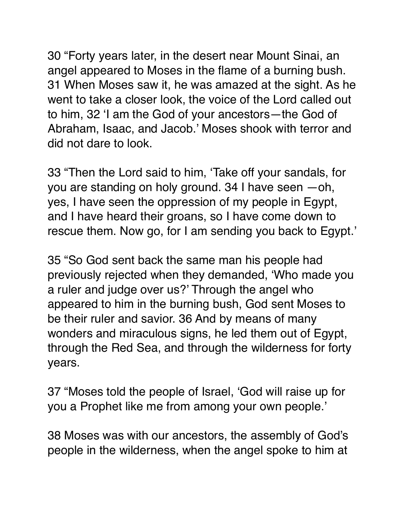30 "Forty years later, in the desert near Mount Sinai, an angel appeared to Moses in the flame of a burning bush. 31 When Moses saw it, he was amazed at the sight. As he went to take a closer look, the voice of the Lord called out to him, 32 'I am the God of your ancestors—the God of Abraham, Isaac, and Jacob.' Moses shook with terror and did not dare to look.

33 "Then the Lord said to him, 'Take off your sandals, for you are standing on holy ground. 34 I have seen —oh, yes, I have seen the oppression of my people in Egypt, and I have heard their groans, so I have come down to rescue them. Now go, for I am sending you back to Egypt.'

35 "So God sent back the same man his people had previously rejected when they demanded, 'Who made you a ruler and judge over us?' Through the angel who appeared to him in the burning bush, God sent Moses to be their ruler and savior. 36 And by means of many wonders and miraculous signs, he led them out of Egypt, through the Red Sea, and through the wilderness for forty years.

37 "Moses told the people of Israel, 'God will raise up for you a Prophet like me from among your own people.'

38 Moses was with our ancestors, the assembly of God's people in the wilderness, when the angel spoke to him at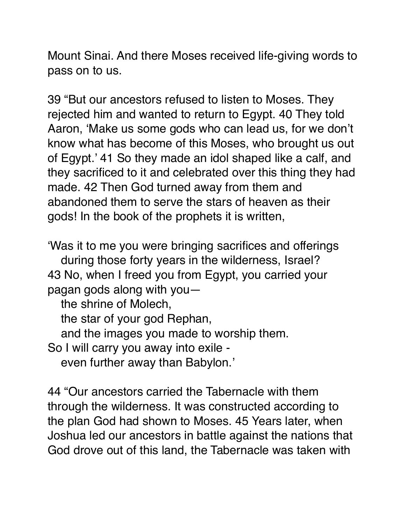Mount Sinai. And there Moses received life-giving words to pass on to us.

39 "But our ancestors refused to listen to Moses. They rejected him and wanted to return to Egypt. 40 They told Aaron, 'Make us some gods who can lead us, for we don't know what has become of this Moses, who brought us out of Egypt.' 41 So they made an idol shaped like a calf, and they sacrificed to it and celebrated over this thing they had made. 42 Then God turned away from them and abandoned them to serve the stars of heaven as their gods! In the book of the prophets it is written,

'Was it to me you were bringing sacrifices and offerings during those forty years in the wilderness, Israel? 43 No, when I freed you from Egypt, you carried your pagan gods along with you—

the shrine of Molech,

the star of your god Rephan,

and the images you made to worship them.

So I will carry you away into exile -

even further away than Babylon.'

44 "Our ancestors carried the Tabernacle with them through the wilderness. It was constructed according to the plan God had shown to Moses. 45 Years later, when Joshua led our ancestors in battle against the nations that God drove out of this land, the Tabernacle was taken with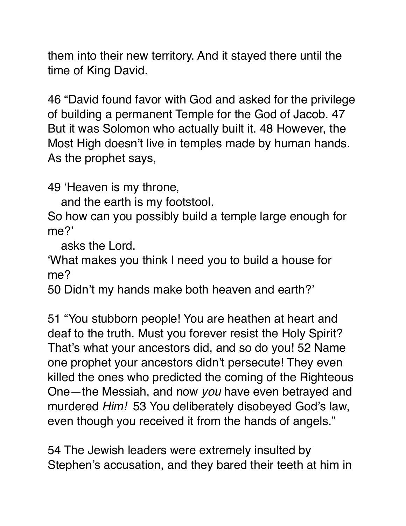them into their new territory. And it stayed there until the time of King David.

46 "David found favor with God and asked for the privilege of building a permanent Temple for the God of Jacob. 47 But it was Solomon who actually built it. 48 However, the Most High doesn't live in temples made by human hands. As the prophet says,

49 'Heaven is my throne,

and the earth is my footstool.

So how can you possibly build a temple large enough for me?'

asks the Lord.

'What makes you think I need you to build a house for me?

50 Didn't my hands make both heaven and earth?'

51 "You stubborn people! You are heathen at heart and deaf to the truth. Must you forever resist the Holy Spirit? That's what your ancestors did, and so do you! 52 Name one prophet your ancestors didn't persecute! They even killed the ones who predicted the coming of the Righteous One—the Messiah, and now *you* have even betrayed and murdered *Him!* 53 You deliberately disobeyed God's law, even though you received it from the hands of angels."

54 The Jewish leaders were extremely insulted by Stephen's accusation, and they bared their teeth at him in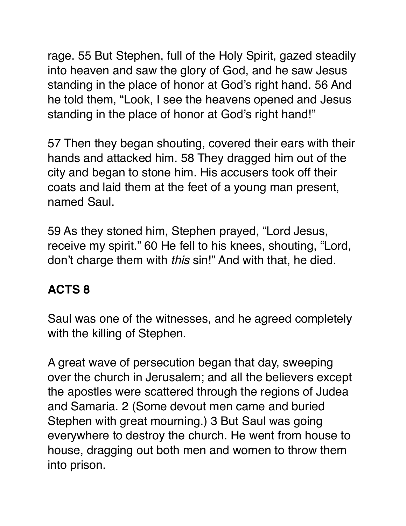rage. 55 But Stephen, full of the Holy Spirit, gazed steadily into heaven and saw the glory of God, and he saw Jesus standing in the place of honor at God's right hand. 56 And he told them, "Look, I see the heavens opened and Jesus standing in the place of honor at God's right hand!"

57 Then they began shouting, covered their ears with their hands and attacked him. 58 They dragged him out of the city and began to stone him. His accusers took off their coats and laid them at the feet of a young man present, named Saul.

59 As they stoned him, Stephen prayed, "Lord Jesus, receive my spirit." 60 He fell to his knees, shouting, "Lord, don't charge them with *this* sin!" And with that, he died.

# **ACTS 8**

Saul was one of the witnesses, and he agreed completely with the killing of Stephen.

A great wave of persecution began that day, sweeping over the church in Jerusalem; and all the believers except the apostles were scattered through the regions of Judea and Samaria. 2 (Some devout men came and buried Stephen with great mourning.) 3 But Saul was going everywhere to destroy the church. He went from house to house, dragging out both men and women to throw them into prison.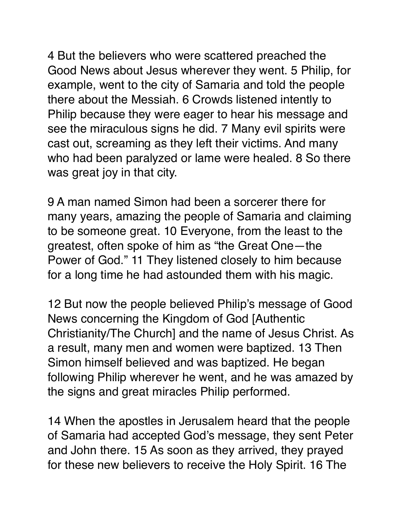4 But the believers who were scattered preached the Good News about Jesus wherever they went. 5 Philip, for example, went to the city of Samaria and told the people there about the Messiah. 6 Crowds listened intently to Philip because they were eager to hear his message and see the miraculous signs he did. 7 Many evil spirits were cast out, screaming as they left their victims. And many who had been paralyzed or lame were healed. 8 So there was great joy in that city.

9 A man named Simon had been a sorcerer there for many years, amazing the people of Samaria and claiming to be someone great. 10 Everyone, from the least to the greatest, often spoke of him as "the Great One—the Power of God." 11 They listened closely to him because for a long time he had astounded them with his magic.

12 But now the people believed Philip's message of Good News concerning the Kingdom of God [Authentic Christianity/The Church] and the name of Jesus Christ. As a result, many men and women were baptized. 13 Then Simon himself believed and was baptized. He began following Philip wherever he went, and he was amazed by the signs and great miracles Philip performed.

14 When the apostles in Jerusalem heard that the people of Samaria had accepted God's message, they sent Peter and John there. 15 As soon as they arrived, they prayed for these new believers to receive the Holy Spirit. 16 The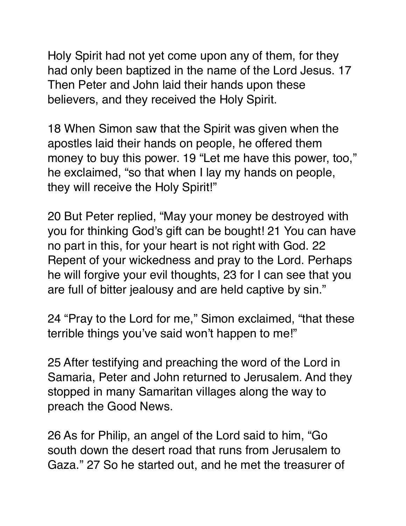Holy Spirit had not yet come upon any of them, for they had only been baptized in the name of the Lord Jesus. 17 Then Peter and John laid their hands upon these believers, and they received the Holy Spirit.

18 When Simon saw that the Spirit was given when the apostles laid their hands on people, he offered them money to buy this power. 19 "Let me have this power, too," he exclaimed, "so that when I lay my hands on people, they will receive the Holy Spirit!"

20 But Peter replied, "May your money be destroyed with you for thinking God's gift can be bought! 21 You can have no part in this, for your heart is not right with God. 22 Repent of your wickedness and pray to the Lord. Perhaps he will forgive your evil thoughts, 23 for I can see that you are full of bitter jealousy and are held captive by sin."

24 "Pray to the Lord for me," Simon exclaimed, "that these terrible things you've said won't happen to me!"

25 After testifying and preaching the word of the Lord in Samaria, Peter and John returned to Jerusalem. And they stopped in many Samaritan villages along the way to preach the Good News.

26 As for Philip, an angel of the Lord said to him, "Go south down the desert road that runs from Jerusalem to Gaza." 27 So he started out, and he met the treasurer of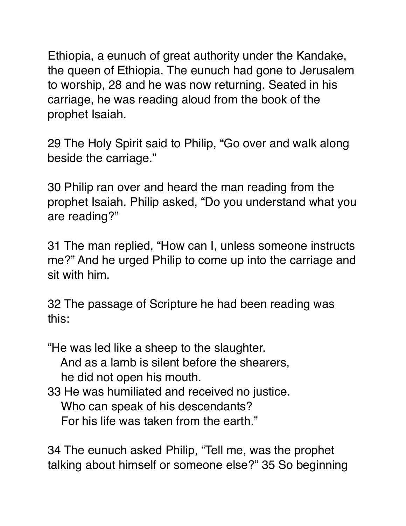Ethiopia, a eunuch of great authority under the Kandake, the queen of Ethiopia. The eunuch had gone to Jerusalem to worship, 28 and he was now returning. Seated in his carriage, he was reading aloud from the book of the prophet Isaiah.

29 The Holy Spirit said to Philip, "Go over and walk along beside the carriage."

30 Philip ran over and heard the man reading from the prophet Isaiah. Philip asked, "Do you understand what you are reading?"

31 The man replied, "How can I, unless someone instructs me?" And he urged Philip to come up into the carriage and sit with him.

32 The passage of Scripture he had been reading was this:

"He was led like a sheep to the slaughter. And as a lamb is silent before the shearers, he did not open his mouth.

33 He was humiliated and received no justice. Who can speak of his descendants? For his life was taken from the earth."

34 The eunuch asked Philip, "Tell me, was the prophet talking about himself or someone else?" 35 So beginning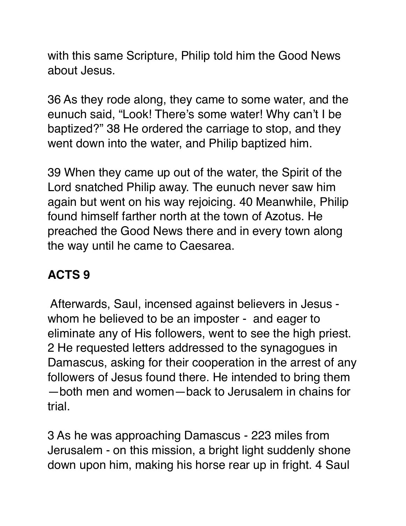with this same Scripture, Philip told him the Good News about Jesus.

36 As they rode along, they came to some water, and the eunuch said, "Look! There's some water! Why can't I be baptized?" 38 He ordered the carriage to stop, and they went down into the water, and Philip baptized him.

39 When they came up out of the water, the Spirit of the Lord snatched Philip away. The eunuch never saw him again but went on his way rejoicing. 40 Meanwhile, Philip found himself farther north at the town of Azotus. He preached the Good News there and in every town along the way until he came to Caesarea.

### **ACTS 9**

 Afterwards, Saul, incensed against believers in Jesus whom he believed to be an imposter - and eager to eliminate any of His followers, went to see the high priest. 2 He requested letters addressed to the synagogues in Damascus, asking for their cooperation in the arrest of any followers of Jesus found there. He intended to bring them —both men and women—back to Jerusalem in chains for trial.

3 As he was approaching Damascus - 223 miles from Jerusalem - on this mission, a bright light suddenly shone down upon him, making his horse rear up in fright. 4 Saul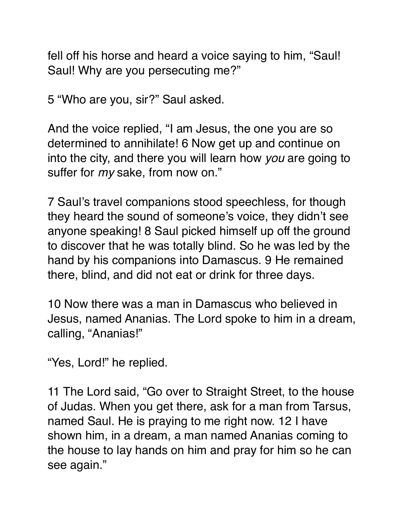fell off his horse and heard a voice saying to him, "Saul! Saul! Why are you persecuting me?"

5 "Who are you, sir?" Saul asked.

And the voice replied, "I am Jesus, the one you are so determined to annihilate! 6 Now get up and continue on into the city, and there you will learn how *you* are going to suffer for *my* sake, from now on."

7 Saul's travel companions stood speechless, for though they heard the sound of someone's voice, they didn't see anyone speaking! 8 Saul picked himself up off the ground to discover that he was totally blind. So he was led by the hand by his companions into Damascus. 9 He remained there, blind, and did not eat or drink for three days.

10 Now there was a man in Damascus who believed in Jesus, named Ananias. The Lord spoke to him in a dream, calling, "Ananias!"

"Yes, Lord!" he replied.

11 The Lord said, "Go over to Straight Street, to the house of Judas. When you get there, ask for a man from Tarsus, named Saul. He is praying to me right now. 12 I have shown him, in a dream, a man named Ananias coming to the house to lay hands on him and pray for him so he can see again."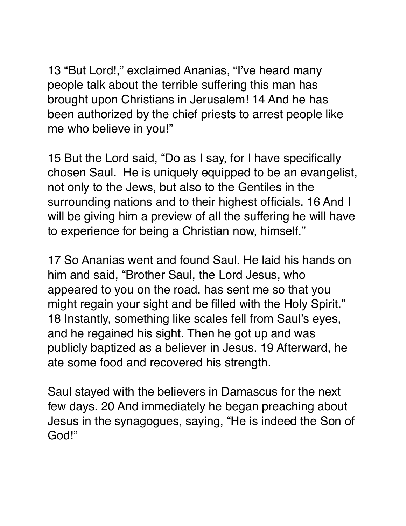13 "But Lord!," exclaimed Ananias, "I've heard many people talk about the terrible suffering this man has brought upon Christians in Jerusalem! 14 And he has been authorized by the chief priests to arrest people like me who believe in you!"

15 But the Lord said, "Do as I say, for I have specifically chosen Saul. He is uniquely equipped to be an evangelist, not only to the Jews, but also to the Gentiles in the surrounding nations and to their highest officials. 16 And I will be giving him a preview of all the suffering he will have to experience for being a Christian now, himself."

17 So Ananias went and found Saul. He laid his hands on him and said, "Brother Saul, the Lord Jesus, who appeared to you on the road, has sent me so that you might regain your sight and be filled with the Holy Spirit." 18 Instantly, something like scales fell from Saul's eyes, and he regained his sight. Then he got up and was publicly baptized as a believer in Jesus. 19 Afterward, he ate some food and recovered his strength.

Saul stayed with the believers in Damascus for the next few days. 20 And immediately he began preaching about Jesus in the synagogues, saying, "He is indeed the Son of God!"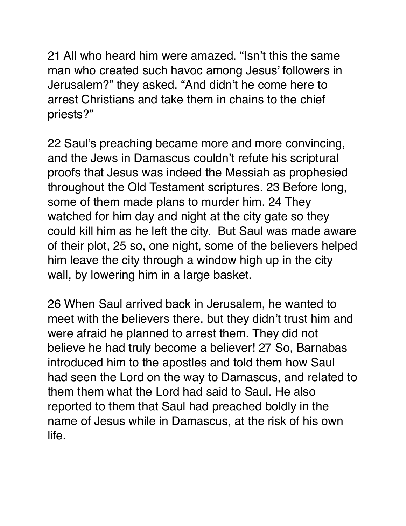21 All who heard him were amazed. "Isn't this the same man who created such havoc among Jesus' followers in Jerusalem?" they asked. "And didn't he come here to arrest Christians and take them in chains to the chief priests?"

22 Saul's preaching became more and more convincing, and the Jews in Damascus couldn't refute his scriptural proofs that Jesus was indeed the Messiah as prophesied throughout the Old Testament scriptures. 23 Before long, some of them made plans to murder him. 24 They watched for him day and night at the city gate so they could kill him as he left the city. But Saul was made aware of their plot, 25 so, one night, some of the believers helped him leave the city through a window high up in the city wall, by lowering him in a large basket.

26 When Saul arrived back in Jerusalem, he wanted to meet with the believers there, but they didn't trust him and were afraid he planned to arrest them. They did not believe he had truly become a believer! 27 So, Barnabas introduced him to the apostles and told them how Saul had seen the Lord on the way to Damascus, and related to them them what the Lord had said to Saul. He also reported to them that Saul had preached boldly in the name of Jesus while in Damascus, at the risk of his own life.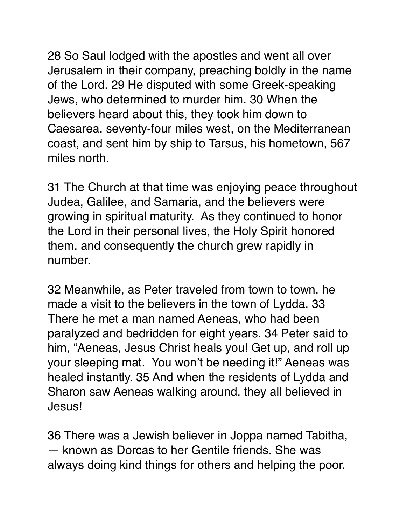28 So Saul lodged with the apostles and went all over Jerusalem in their company, preaching boldly in the name of the Lord. 29 He disputed with some Greek-speaking Jews, who determined to murder him. 30 When the believers heard about this, they took him down to Caesarea, seventy-four miles west, on the Mediterranean coast, and sent him by ship to Tarsus, his hometown, 567 miles north.

31 The Church at that time was enjoying peace throughout Judea, Galilee, and Samaria, and the believers were growing in spiritual maturity. As they continued to honor the Lord in their personal lives, the Holy Spirit honored them, and consequently the church grew rapidly in number.

32 Meanwhile, as Peter traveled from town to town, he made a visit to the believers in the town of Lydda. 33 There he met a man named Aeneas, who had been paralyzed and bedridden for eight years. 34 Peter said to him, "Aeneas, Jesus Christ heals you! Get up, and roll up your sleeping mat. You won't be needing it!" Aeneas was healed instantly. 35 And when the residents of Lydda and Sharon saw Aeneas walking around, they all believed in Jesus!

36 There was a Jewish believer in Joppa named Tabitha, — known as Dorcas to her Gentile friends. She was always doing kind things for others and helping the poor.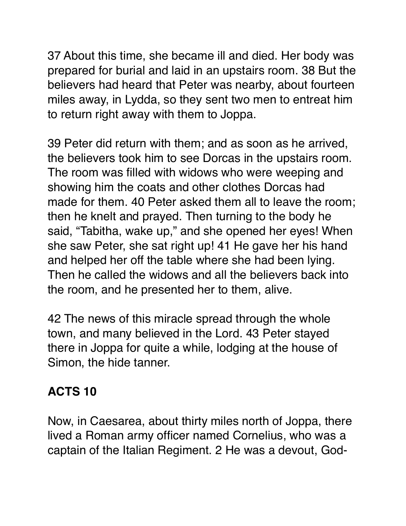37 About this time, she became ill and died. Her body was prepared for burial and laid in an upstairs room. 38 But the believers had heard that Peter was nearby, about fourteen miles away, in Lydda, so they sent two men to entreat him to return right away with them to Joppa.

39 Peter did return with them; and as soon as he arrived, the believers took him to see Dorcas in the upstairs room. The room was filled with widows who were weeping and showing him the coats and other clothes Dorcas had made for them. 40 Peter asked them all to leave the room; then he knelt and prayed. Then turning to the body he said, "Tabitha, wake up," and she opened her eyes! When she saw Peter, she sat right up! 41 He gave her his hand and helped her off the table where she had been lying. Then he called the widows and all the believers back into the room, and he presented her to them, alive.

42 The news of this miracle spread through the whole town, and many believed in the Lord. 43 Peter stayed there in Joppa for quite a while, lodging at the house of Simon, the hide tanner.

#### **ACTS 10**

Now, in Caesarea, about thirty miles north of Joppa, there lived a Roman army officer named Cornelius, who was a captain of the Italian Regiment. 2 He was a devout, God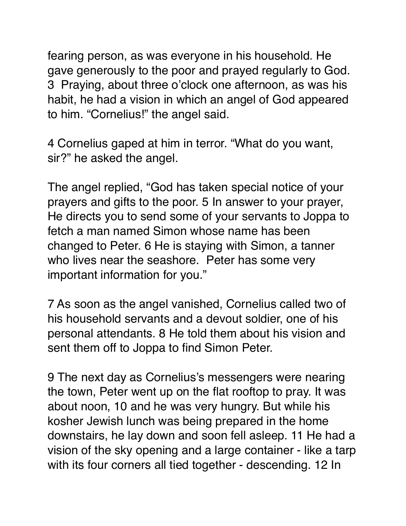fearing person, as was everyone in his household. He gave generously to the poor and prayed regularly to God. 3 Praying, about three o'clock one afternoon, as was his habit, he had a vision in which an angel of God appeared to him. "Cornelius!" the angel said.

4 Cornelius gaped at him in terror. "What do you want, sir?" he asked the angel.

The angel replied, "God has taken special notice of your prayers and gifts to the poor. 5 In answer to your prayer, He directs you to send some of your servants to Joppa to fetch a man named Simon whose name has been changed to Peter. 6 He is staying with Simon, a tanner who lives near the seashore. Peter has some very important information for you."

7 As soon as the angel vanished, Cornelius called two of his household servants and a devout soldier, one of his personal attendants. 8 He told them about his vision and sent them off to Joppa to find Simon Peter.

9 The next day as Cornelius's messengers were nearing the town, Peter went up on the flat rooftop to pray. It was about noon, 10 and he was very hungry. But while his kosher Jewish lunch was being prepared in the home downstairs, he lay down and soon fell asleep. 11 He had a vision of the sky opening and a large container - like a tarp with its four corners all tied together - descending. 12 In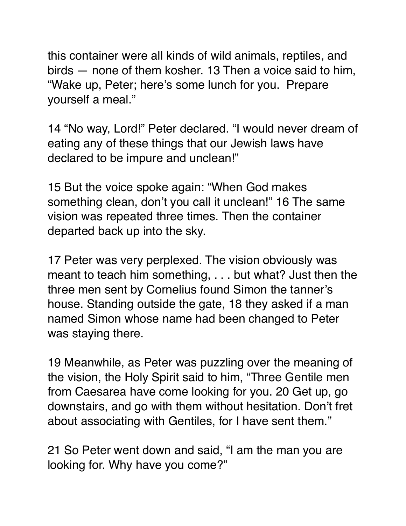this container were all kinds of wild animals, reptiles, and birds — none of them kosher. 13 Then a voice said to him, "Wake up, Peter; here's some lunch for you. Prepare yourself a meal."

14 "No way, Lord!" Peter declared. "I would never dream of eating any of these things that our Jewish laws have declared to be impure and unclean!"

15 But the voice spoke again: "When God makes something clean, don't you call it unclean!" 16 The same vision was repeated three times. Then the container departed back up into the sky.

17 Peter was very perplexed. The vision obviously was meant to teach him something, . . . but what? Just then the three men sent by Cornelius found Simon the tanner's house. Standing outside the gate, 18 they asked if a man named Simon whose name had been changed to Peter was staying there.

19 Meanwhile, as Peter was puzzling over the meaning of the vision, the Holy Spirit said to him, "Three Gentile men from Caesarea have come looking for you. 20 Get up, go downstairs, and go with them without hesitation. Don't fret about associating with Gentiles, for I have sent them."

21 So Peter went down and said, "I am the man you are looking for. Why have you come?"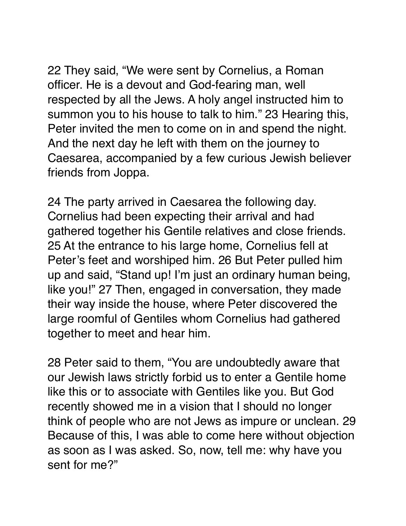22 They said, "We were sent by Cornelius, a Roman officer. He is a devout and God-fearing man, well respected by all the Jews. A holy angel instructed him to summon you to his house to talk to him." 23 Hearing this, Peter invited the men to come on in and spend the night.

And the next day he left with them on the journey to Caesarea, accompanied by a few curious Jewish believer friends from Joppa.

24 The party arrived in Caesarea the following day. Cornelius had been expecting their arrival and had gathered together his Gentile relatives and close friends. 25 At the entrance to his large home, Cornelius fell at Peter's feet and worshiped him. 26 But Peter pulled him up and said, "Stand up! I'm just an ordinary human being, like you!" 27 Then, engaged in conversation, they made their way inside the house, where Peter discovered the large roomful of Gentiles whom Cornelius had gathered together to meet and hear him.

28 Peter said to them, "You are undoubtedly aware that our Jewish laws strictly forbid us to enter a Gentile home like this or to associate with Gentiles like you. But God recently showed me in a vision that I should no longer think of people who are not Jews as impure or unclean. 29 Because of this, I was able to come here without objection as soon as I was asked. So, now, tell me: why have you sent for me?"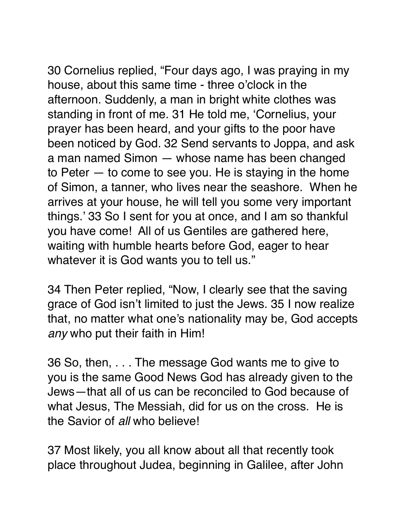30 Cornelius replied, "Four days ago, I was praying in my house, about this same time - three o'clock in the afternoon. Suddenly, a man in bright white clothes was standing in front of me. 31 He told me, 'Cornelius, your prayer has been heard, and your gifts to the poor have been noticed by God. 32 Send servants to Joppa, and ask a man named Simon — whose name has been changed to Peter — to come to see you. He is staying in the home of Simon, a tanner, who lives near the seashore. When he arrives at your house, he will tell you some very important things.' 33 So I sent for you at once, and I am so thankful

you have come! All of us Gentiles are gathered here, waiting with humble hearts before God, eager to hear whatever it is God wants you to tell us."

34 Then Peter replied, "Now, I clearly see that the saving grace of God isn't limited to just the Jews. 35 I now realize that, no matter what one's nationality may be, God accepts *any* who put their faith in Him!

36 So, then, . . . The message God wants me to give to you is the same Good News God has already given to the Jews—that all of us can be reconciled to God because of what Jesus, The Messiah, did for us on the cross. He is the Savior of *all* who believe!

37 Most likely, you all know about all that recently took place throughout Judea, beginning in Galilee, after John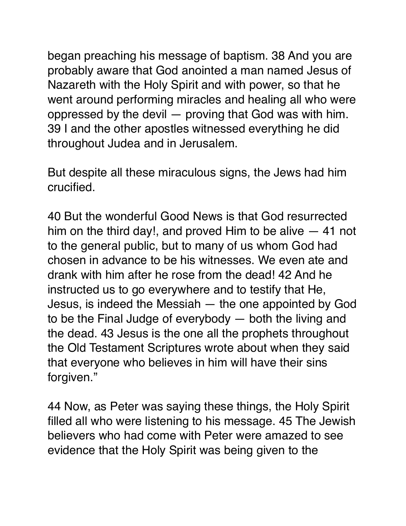began preaching his message of baptism. 38 And you are probably aware that God anointed a man named Jesus of Nazareth with the Holy Spirit and with power, so that he went around performing miracles and healing all who were oppressed by the devil — proving that God was with him. 39 I and the other apostles witnessed everything he did throughout Judea and in Jerusalem.

But despite all these miraculous signs, the Jews had him crucified.

40 But the wonderful Good News is that God resurrected him on the third day!, and proved Him to be alive — 41 not to the general public, but to many of us whom God had chosen in advance to be his witnesses. We even ate and drank with him after he rose from the dead! 42 And he instructed us to go everywhere and to testify that He, Jesus, is indeed the Messiah — the one appointed by God to be the Final Judge of everybody — both the living and the dead. 43 Jesus is the one all the prophets throughout the Old Testament Scriptures wrote about when they said that everyone who believes in him will have their sins forgiven."

44 Now, as Peter was saying these things, the Holy Spirit filled all who were listening to his message. 45 The Jewish believers who had come with Peter were amazed to see evidence that the Holy Spirit was being given to the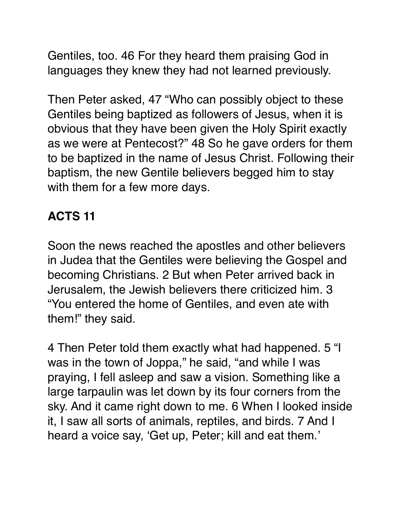Gentiles, too. 46 For they heard them praising God in languages they knew they had not learned previously.

Then Peter asked, 47 "Who can possibly object to these Gentiles being baptized as followers of Jesus, when it is obvious that they have been given the Holy Spirit exactly as we were at Pentecost?" 48 So he gave orders for them to be baptized in the name of Jesus Christ. Following their baptism, the new Gentile believers begged him to stay with them for a few more days.

## **ACTS 11**

Soon the news reached the apostles and other believers in Judea that the Gentiles were believing the Gospel and becoming Christians. 2 But when Peter arrived back in Jerusalem, the Jewish believers there criticized him. 3 "You entered the home of Gentiles, and even ate with them!" they said.

4 Then Peter told them exactly what had happened. 5 "I was in the town of Joppa," he said, "and while I was praying, I fell asleep and saw a vision. Something like a large tarpaulin was let down by its four corners from the sky. And it came right down to me. 6 When I looked inside it, I saw all sorts of animals, reptiles, and birds. 7 And I heard a voice say, 'Get up, Peter; kill and eat them.'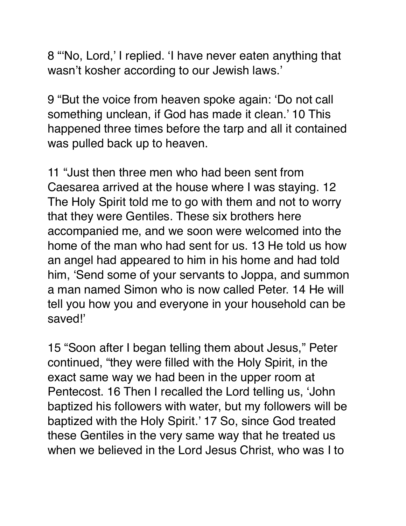8 "'No, Lord,' I replied. 'I have never eaten anything that wasn't kosher according to our Jewish laws.'

9 "But the voice from heaven spoke again: 'Do not call something unclean, if God has made it clean.' 10 This happened three times before the tarp and all it contained was pulled back up to heaven.

11 "Just then three men who had been sent from Caesarea arrived at the house where I was staying. 12 The Holy Spirit told me to go with them and not to worry that they were Gentiles. These six brothers here accompanied me, and we soon were welcomed into the home of the man who had sent for us. 13 He told us how an angel had appeared to him in his home and had told him, 'Send some of your servants to Joppa, and summon a man named Simon who is now called Peter. 14 He will tell you how you and everyone in your household can be saved!'

15 "Soon after I began telling them about Jesus," Peter continued, "they were filled with the Holy Spirit, in the exact same way we had been in the upper room at Pentecost. 16 Then I recalled the Lord telling us, 'John baptized his followers with water, but my followers will be baptized with the Holy Spirit.' 17 So, since God treated these Gentiles in the very same way that he treated us when we believed in the Lord Jesus Christ, who was I to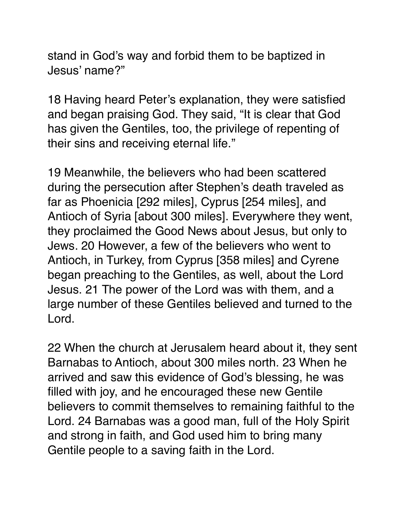stand in God's way and forbid them to be baptized in Jesus' name?"

18 Having heard Peter's explanation, they were satisfied and began praising God. They said, "It is clear that God has given the Gentiles, too, the privilege of repenting of their sins and receiving eternal life."

19 Meanwhile, the believers who had been scattered during the persecution after Stephen's death traveled as far as Phoenicia [292 miles], Cyprus [254 miles], and Antioch of Syria [about 300 miles]. Everywhere they went, they proclaimed the Good News about Jesus, but only to Jews. 20 However, a few of the believers who went to Antioch, in Turkey, from Cyprus [358 miles] and Cyrene began preaching to the Gentiles, as well, about the Lord Jesus. 21 The power of the Lord was with them, and a large number of these Gentiles believed and turned to the Lord.

22 When the church at Jerusalem heard about it, they sent Barnabas to Antioch, about 300 miles north. 23 When he arrived and saw this evidence of God's blessing, he was filled with joy, and he encouraged these new Gentile believers to commit themselves to remaining faithful to the Lord. 24 Barnabas was a good man, full of the Holy Spirit and strong in faith, and God used him to bring many Gentile people to a saving faith in the Lord.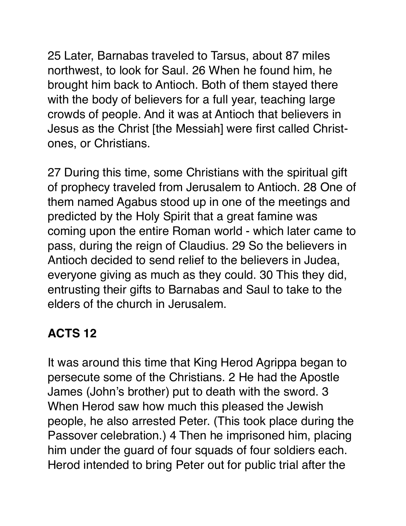25 Later, Barnabas traveled to Tarsus, about 87 miles northwest, to look for Saul. 26 When he found him, he brought him back to Antioch. Both of them stayed there with the body of believers for a full year, teaching large crowds of people. And it was at Antioch that believers in Jesus as the Christ [the Messiah] were first called Christones, or Christians.

27 During this time, some Christians with the spiritual gift of prophecy traveled from Jerusalem to Antioch. 28 One of them named Agabus stood up in one of the meetings and predicted by the Holy Spirit that a great famine was coming upon the entire Roman world - which later came to pass, during the reign of Claudius. 29 So the believers in Antioch decided to send relief to the believers in Judea, everyone giving as much as they could. 30 This they did, entrusting their gifts to Barnabas and Saul to take to the elders of the church in Jerusalem.

## **ACTS 12**

It was around this time that King Herod Agrippa began to persecute some of the Christians. 2 He had the Apostle James (John's brother) put to death with the sword. 3 When Herod saw how much this pleased the Jewish people, he also arrested Peter. (This took place during the Passover celebration.) 4 Then he imprisoned him, placing him under the guard of four squads of four soldiers each. Herod intended to bring Peter out for public trial after the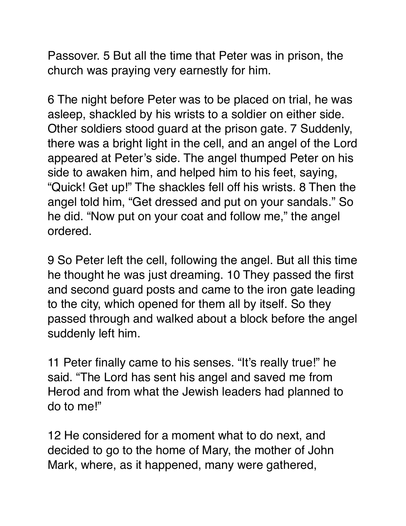Passover. 5 But all the time that Peter was in prison, the church was praying very earnestly for him.

6 The night before Peter was to be placed on trial, he was asleep, shackled by his wrists to a soldier on either side. Other soldiers stood guard at the prison gate. 7 Suddenly, there was a bright light in the cell, and an angel of the Lord appeared at Peter's side. The angel thumped Peter on his side to awaken him, and helped him to his feet, saying, "Quick! Get up!" The shackles fell off his wrists. 8 Then the angel told him, "Get dressed and put on your sandals." So he did. "Now put on your coat and follow me," the angel ordered.

9 So Peter left the cell, following the angel. But all this time he thought he was just dreaming. 10 They passed the first and second guard posts and came to the iron gate leading to the city, which opened for them all by itself. So they passed through and walked about a block before the angel suddenly left him.

11 Peter finally came to his senses. "It's really true!" he said. "The Lord has sent his angel and saved me from Herod and from what the Jewish leaders had planned to do to me!"

12 He considered for a moment what to do next, and decided to go to the home of Mary, the mother of John Mark, where, as it happened, many were gathered,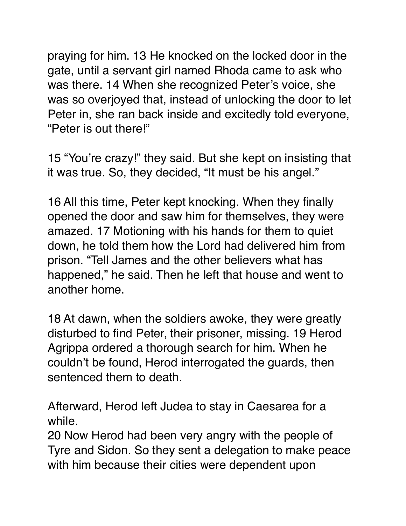praying for him. 13 He knocked on the locked door in the gate, until a servant girl named Rhoda came to ask who was there. 14 When she recognized Peter's voice, she was so overjoyed that, instead of unlocking the door to let Peter in, she ran back inside and excitedly told everyone, "Peter is out there!"

15 "You're crazy!" they said. But she kept on insisting that it was true. So, they decided, "It must be his angel."

16 All this time, Peter kept knocking. When they finally opened the door and saw him for themselves, they were amazed. 17 Motioning with his hands for them to quiet down, he told them how the Lord had delivered him from prison. "Tell James and the other believers what has happened," he said. Then he left that house and went to another home.

18 At dawn, when the soldiers awoke, they were greatly disturbed to find Peter, their prisoner, missing. 19 Herod Agrippa ordered a thorough search for him. When he couldn't be found, Herod interrogated the guards, then sentenced them to death.

Afterward, Herod left Judea to stay in Caesarea for a while.

20 Now Herod had been very angry with the people of Tyre and Sidon. So they sent a delegation to make peace with him because their cities were dependent upon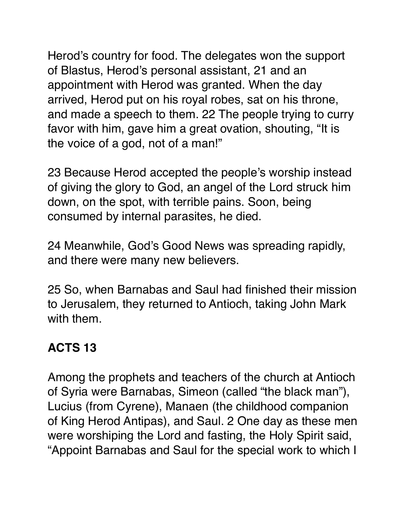Herod's country for food. The delegates won the support of Blastus, Herod's personal assistant, 21 and an appointment with Herod was granted. When the day arrived, Herod put on his royal robes, sat on his throne, and made a speech to them. 22 The people trying to curry favor with him, gave him a great ovation, shouting, "It is the voice of a god, not of a man!"

23 Because Herod accepted the people's worship instead of giving the glory to God, an angel of the Lord struck him down, on the spot, with terrible pains. Soon, being consumed by internal parasites, he died.

24 Meanwhile, God's Good News was spreading rapidly, and there were many new believers.

25 So, when Barnabas and Saul had finished their mission to Jerusalem, they returned to Antioch, taking John Mark with them.

#### **ACTS 13**

Among the prophets and teachers of the church at Antioch of Syria were Barnabas, Simeon (called "the black man"), Lucius (from Cyrene), Manaen (the childhood companion of King Herod Antipas), and Saul. 2 One day as these men were worshiping the Lord and fasting, the Holy Spirit said, "Appoint Barnabas and Saul for the special work to which I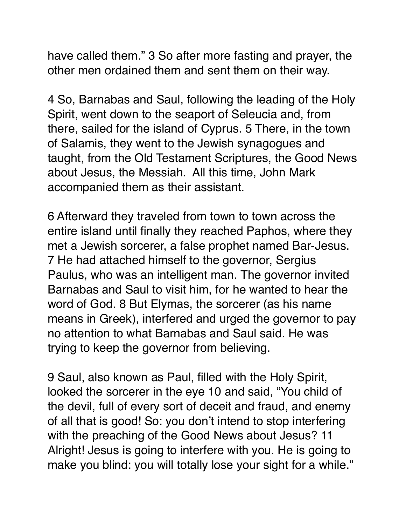have called them." 3 So after more fasting and prayer, the other men ordained them and sent them on their way.

4 So, Barnabas and Saul, following the leading of the Holy Spirit, went down to the seaport of Seleucia and, from there, sailed for the island of Cyprus. 5 There, in the town of Salamis, they went to the Jewish synagogues and taught, from the Old Testament Scriptures, the Good News about Jesus, the Messiah. All this time, John Mark accompanied them as their assistant.

6 Afterward they traveled from town to town across the entire island until finally they reached Paphos, where they met a Jewish sorcerer, a false prophet named Bar-Jesus. 7 He had attached himself to the governor, Sergius Paulus, who was an intelligent man. The governor invited Barnabas and Saul to visit him, for he wanted to hear the word of God. 8 But Elymas, the sorcerer (as his name means in Greek), interfered and urged the governor to pay no attention to what Barnabas and Saul said. He was trying to keep the governor from believing.

9 Saul, also known as Paul, filled with the Holy Spirit, looked the sorcerer in the eye 10 and said, "You child of the devil, full of every sort of deceit and fraud, and enemy of all that is good! So: you don't intend to stop interfering with the preaching of the Good News about Jesus? 11 Alright! Jesus is going to interfere with you. He is going to make you blind: you will totally lose your sight for a while."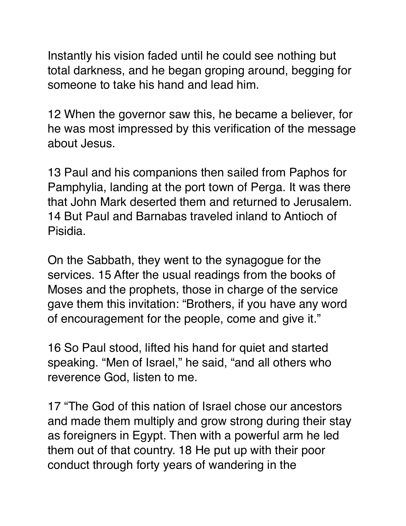Instantly his vision faded until he could see nothing but total darkness, and he began groping around, begging for someone to take his hand and lead him.

12 When the governor saw this, he became a believer, for he was most impressed by this verification of the message about Jesus.

13 Paul and his companions then sailed from Paphos for Pamphylia, landing at the port town of Perga. It was there that John Mark deserted them and returned to Jerusalem. 14 But Paul and Barnabas traveled inland to Antioch of Pisidia.

On the Sabbath, they went to the synagogue for the services. 15 After the usual readings from the books of Moses and the prophets, those in charge of the service gave them this invitation: "Brothers, if you have any word of encouragement for the people, come and give it."

16 So Paul stood, lifted his hand for quiet and started speaking. "Men of Israel," he said, "and all others who reverence God, listen to me.

17 "The God of this nation of Israel chose our ancestors and made them multiply and grow strong during their stay as foreigners in Egypt. Then with a powerful arm he led them out of that country. 18 He put up with their poor conduct through forty years of wandering in the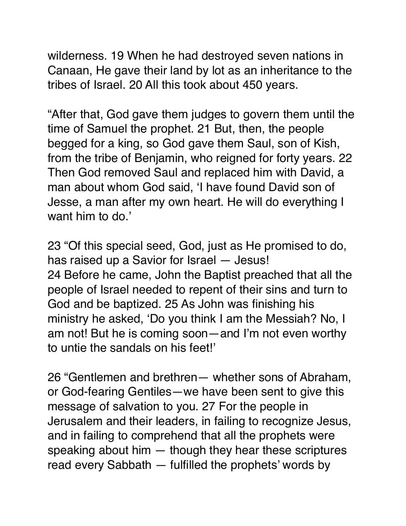wilderness. 19 When he had destroyed seven nations in Canaan, He gave their land by lot as an inheritance to the tribes of Israel. 20 All this took about 450 years.

"After that, God gave them judges to govern them until the time of Samuel the prophet. 21 But, then, the people begged for a king, so God gave them Saul, son of Kish, from the tribe of Benjamin, who reigned for forty years. 22 Then God removed Saul and replaced him with David, a man about whom God said, 'I have found David son of Jesse, a man after my own heart. He will do everything I want him to do.'

23 "Of this special seed, God, just as He promised to do, has raised up a Savior for Israel — Jesus! 24 Before he came, John the Baptist preached that all the people of Israel needed to repent of their sins and turn to God and be baptized. 25 As John was finishing his ministry he asked, 'Do you think I am the Messiah? No, I am not! But he is coming soon—and I'm not even worthy to untie the sandals on his feet!'

26 "Gentlemen and brethren— whether sons of Abraham, or God-fearing Gentiles—we have been sent to give this message of salvation to you. 27 For the people in Jerusalem and their leaders, in failing to recognize Jesus, and in failing to comprehend that all the prophets were speaking about him — though they hear these scriptures read every Sabbath — fulfilled the prophets' words by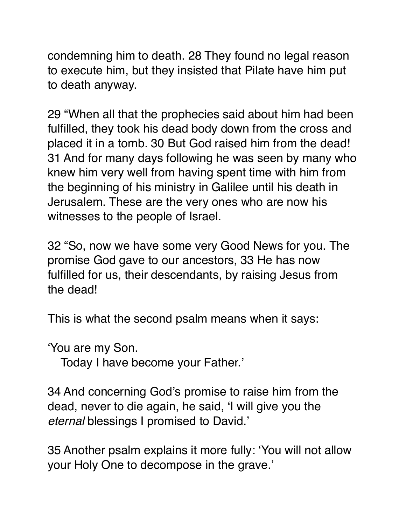condemning him to death. 28 They found no legal reason to execute him, but they insisted that Pilate have him put to death anyway.

29 "When all that the prophecies said about him had been fulfilled, they took his dead body down from the cross and placed it in a tomb. 30 But God raised him from the dead! 31 And for many days following he was seen by many who knew him very well from having spent time with him from the beginning of his ministry in Galilee until his death in Jerusalem. These are the very ones who are now his witnesses to the people of Israel.

32 "So, now we have some very Good News for you. The promise God gave to our ancestors, 33 He has now fulfilled for us, their descendants, by raising Jesus from the dead!

This is what the second psalm means when it says:

'You are my Son.

Today I have become your Father.'

34 And concerning God's promise to raise him from the dead, never to die again, he said, 'I will give you the *eternal* blessings I promised to David.'

35 Another psalm explains it more fully: 'You will not allow your Holy One to decompose in the grave.'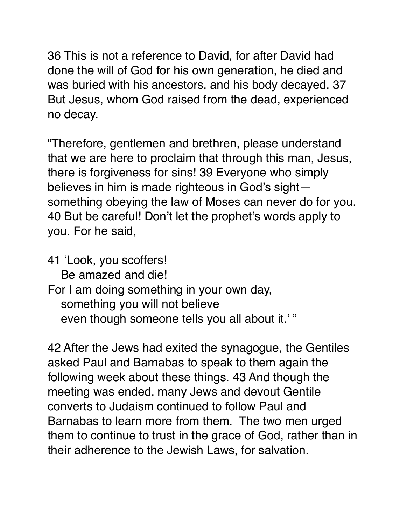36 This is not a reference to David, for after David had done the will of God for his own generation, he died and was buried with his ancestors, and his body decayed. 37 But Jesus, whom God raised from the dead, experienced no decay.

"Therefore, gentlemen and brethren, please understand that we are here to proclaim that through this man, Jesus, there is forgiveness for sins! 39 Everyone who simply believes in him is made righteous in God's sight something obeying the law of Moses can never do for you. 40 But be careful! Don't let the prophet's words apply to you. For he said,

41 'Look, you scoffers!

Be amazed and die!

For I am doing something in your own day, something you will not believe even though someone tells you all about it.' "

42 After the Jews had exited the synagogue, the Gentiles asked Paul and Barnabas to speak to them again the following week about these things. 43 And though the meeting was ended, many Jews and devout Gentile converts to Judaism continued to follow Paul and Barnabas to learn more from them. The two men urged them to continue to trust in the grace of God, rather than in their adherence to the Jewish Laws, for salvation.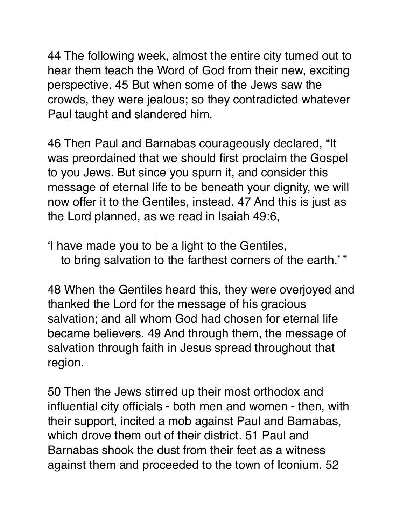44 The following week, almost the entire city turned out to hear them teach the Word of God from their new, exciting perspective. 45 But when some of the Jews saw the crowds, they were jealous; so they contradicted whatever Paul taught and slandered him.

46 Then Paul and Barnabas courageously declared, "It was preordained that we should first proclaim the Gospel to you Jews. But since you spurn it, and consider this message of eternal life to be beneath your dignity, we will now offer it to the Gentiles, instead. 47 And this is just as the Lord planned, as we read in Isaiah 49:6,

'I have made you to be a light to the Gentiles, to bring salvation to the farthest corners of the earth.' "

48 When the Gentiles heard this, they were overjoyed and thanked the Lord for the message of his gracious salvation; and all whom God had chosen for eternal life became believers. 49 And through them, the message of salvation through faith in Jesus spread throughout that region.

50 Then the Jews stirred up their most orthodox and influential city officials - both men and women - then, with their support, incited a mob against Paul and Barnabas, which drove them out of their district. 51 Paul and Barnabas shook the dust from their feet as a witness against them and proceeded to the town of Iconium. 52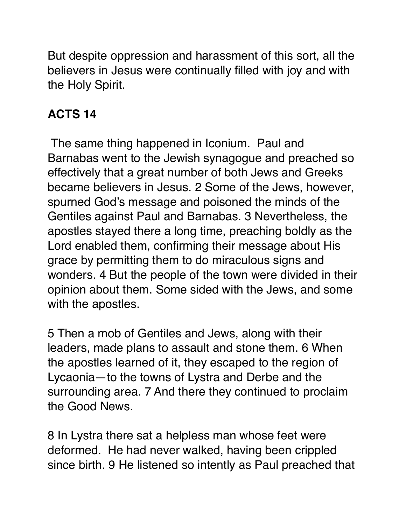But despite oppression and harassment of this sort, all the believers in Jesus were continually filled with joy and with the Holy Spirit.

#### **ACTS 14**

 The same thing happened in Iconium. Paul and Barnabas went to the Jewish synagogue and preached so effectively that a great number of both Jews and Greeks became believers in Jesus. 2 Some of the Jews, however, spurned God's message and poisoned the minds of the Gentiles against Paul and Barnabas. 3 Nevertheless, the apostles stayed there a long time, preaching boldly as the Lord enabled them, confirming their message about His grace by permitting them to do miraculous signs and wonders. 4 But the people of the town were divided in their opinion about them. Some sided with the Jews, and some with the apostles.

5 Then a mob of Gentiles and Jews, along with their leaders, made plans to assault and stone them. 6 When the apostles learned of it, they escaped to the region of Lycaonia—to the towns of Lystra and Derbe and the surrounding area. 7 And there they continued to proclaim the Good News.

8 In Lystra there sat a helpless man whose feet were deformed. He had never walked, having been crippled since birth. 9 He listened so intently as Paul preached that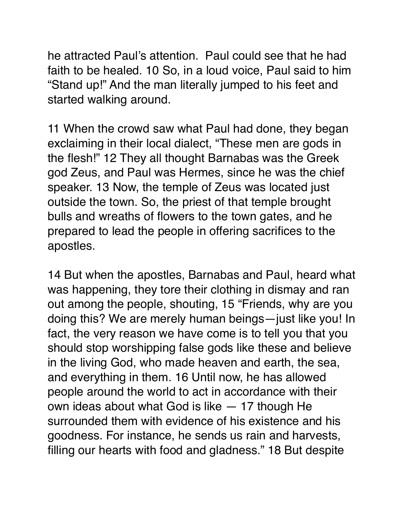he attracted Paul's attention. Paul could see that he had faith to be healed. 10 So, in a loud voice, Paul said to him "Stand up!" And the man literally jumped to his feet and started walking around.

11 When the crowd saw what Paul had done, they began exclaiming in their local dialect, "These men are gods in the flesh!" 12 They all thought Barnabas was the Greek god Zeus, and Paul was Hermes, since he was the chief speaker. 13 Now, the temple of Zeus was located just outside the town. So, the priest of that temple brought bulls and wreaths of flowers to the town gates, and he prepared to lead the people in offering sacrifices to the apostles.

14 But when the apostles, Barnabas and Paul, heard what was happening, they tore their clothing in dismay and ran out among the people, shouting, 15 "Friends, why are you doing this? We are merely human beings—just like you! In fact, the very reason we have come is to tell you that you should stop worshipping false gods like these and believe in the living God, who made heaven and earth, the sea, and everything in them. 16 Until now, he has allowed people around the world to act in accordance with their own ideas about what God is like — 17 though He surrounded them with evidence of his existence and his goodness. For instance, he sends us rain and harvests, filling our hearts with food and gladness." 18 But despite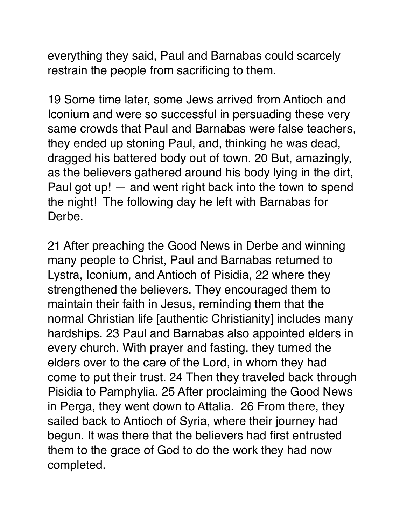everything they said, Paul and Barnabas could scarcely restrain the people from sacrificing to them.

19 Some time later, some Jews arrived from Antioch and Iconium and were so successful in persuading these very same crowds that Paul and Barnabas were false teachers, they ended up stoning Paul, and, thinking he was dead, dragged his battered body out of town. 20 But, amazingly, as the believers gathered around his body lying in the dirt, Paul got up! — and went right back into the town to spend the night! The following day he left with Barnabas for Derbe.

21 After preaching the Good News in Derbe and winning many people to Christ, Paul and Barnabas returned to Lystra, Iconium, and Antioch of Pisidia, 22 where they strengthened the believers. They encouraged them to maintain their faith in Jesus, reminding them that the normal Christian life [authentic Christianity] includes many hardships. 23 Paul and Barnabas also appointed elders in every church. With prayer and fasting, they turned the elders over to the care of the Lord, in whom they had come to put their trust. 24 Then they traveled back through Pisidia to Pamphylia. 25 After proclaiming the Good News in Perga, they went down to Attalia. 26 From there, they sailed back to Antioch of Syria, where their journey had begun. It was there that the believers had first entrusted them to the grace of God to do the work they had now completed.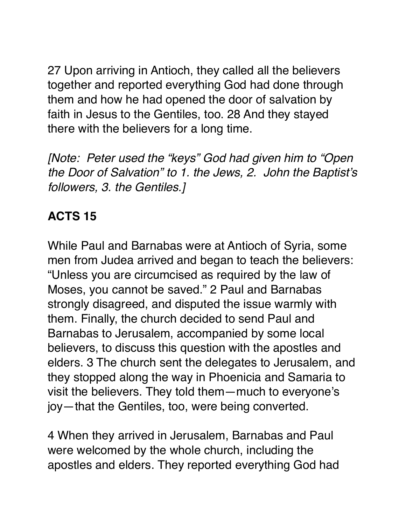27 Upon arriving in Antioch, they called all the believers together and reported everything God had done through them and how he had opened the door of salvation by faith in Jesus to the Gentiles, too. 28 And they stayed there with the believers for a long time.

*[Note: Peter used the "keys" God had given him to "Open the Door of Salvation" to 1. the Jews, 2. John the Baptist's followers, 3. the Gentiles.]*

# **ACTS 15**

While Paul and Barnabas were at Antioch of Syria, some men from Judea arrived and began to teach the believers: "Unless you are circumcised as required by the law of Moses, you cannot be saved." 2 Paul and Barnabas strongly disagreed, and disputed the issue warmly with them. Finally, the church decided to send Paul and Barnabas to Jerusalem, accompanied by some local believers, to discuss this question with the apostles and elders. 3 The church sent the delegates to Jerusalem, and they stopped along the way in Phoenicia and Samaria to visit the believers. They told them—much to everyone's joy—that the Gentiles, too, were being converted.

4 When they arrived in Jerusalem, Barnabas and Paul were welcomed by the whole church, including the apostles and elders. They reported everything God had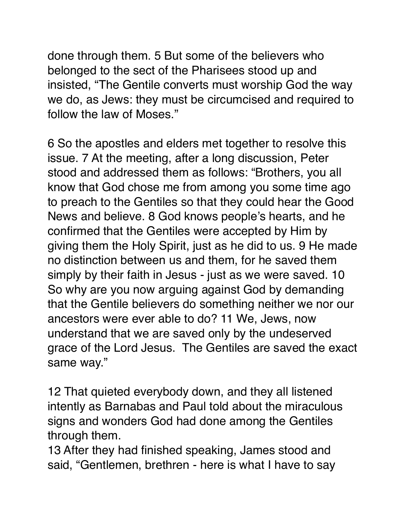done through them. 5 But some of the believers who belonged to the sect of the Pharisees stood up and insisted, "The Gentile converts must worship God the way we do, as Jews: they must be circumcised and required to follow the law of Moses."

6 So the apostles and elders met together to resolve this issue. 7 At the meeting, after a long discussion, Peter stood and addressed them as follows: "Brothers, you all know that God chose me from among you some time ago to preach to the Gentiles so that they could hear the Good News and believe. 8 God knows people's hearts, and he confirmed that the Gentiles were accepted by Him by giving them the Holy Spirit, just as he did to us. 9 He made no distinction between us and them, for he saved them simply by their faith in Jesus - just as we were saved. 10 So why are you now arguing against God by demanding that the Gentile believers do something neither we nor our ancestors were ever able to do? 11 We, Jews, now understand that we are saved only by the undeserved grace of the Lord Jesus. The Gentiles are saved the exact same way."

12 That quieted everybody down, and they all listened intently as Barnabas and Paul told about the miraculous signs and wonders God had done among the Gentiles through them.

13 After they had finished speaking, James stood and said, "Gentlemen, brethren - here is what I have to say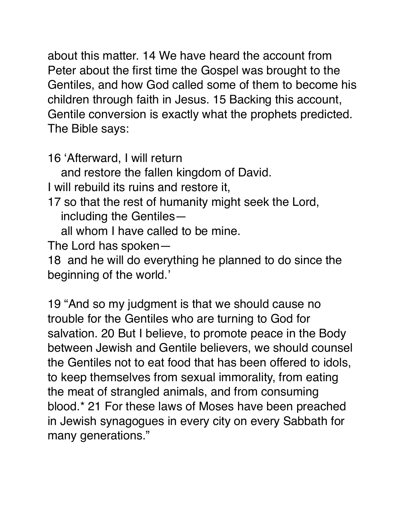about this matter. 14 We have heard the account from Peter about the first time the Gospel was brought to the Gentiles, and how God called some of them to become his children through faith in Jesus. 15 Backing this account, Gentile conversion is exactly what the prophets predicted. The Bible says:

16 'Afterward, I will return

and restore the fallen kingdom of David.

I will rebuild its ruins and restore it,

17 so that the rest of humanity might seek the Lord, including the Gentiles—

all whom I have called to be mine.

The Lord has spoken—

18 and he will do everything he planned to do since the beginning of the world.'

19 "And so my judgment is that we should cause no trouble for the Gentiles who are turning to God for salvation. 20 But I believe, to promote peace in the Body between Jewish and Gentile believers, we should counsel the Gentiles not to eat food that has been offered to idols, to keep themselves from sexual immorality, from eating the meat of strangled animals, and from consuming blood.\* 21 For these laws of Moses have been preached in Jewish synagogues in every city on every Sabbath for many generations."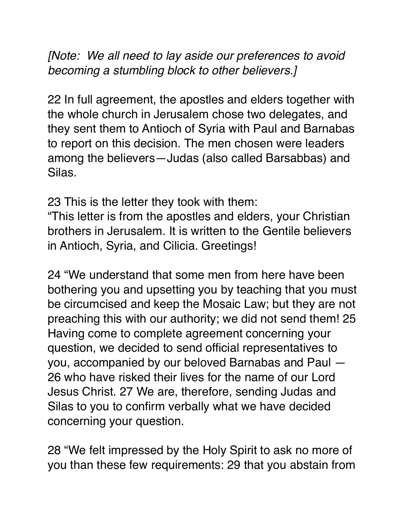*[Note: We all need to lay aside our preferences to avoid becoming a stumbling block to other believers.]*

22 In full agreement, the apostles and elders together with the whole church in Jerusalem chose two delegates, and they sent them to Antioch of Syria with Paul and Barnabas to report on this decision. The men chosen were leaders among the believers—Judas (also called Barsabbas) and Silas.

23 This is the letter they took with them:

"This letter is from the apostles and elders, your Christian brothers in Jerusalem. It is written to the Gentile believers in Antioch, Syria, and Cilicia. Greetings!

24 "We understand that some men from here have been bothering you and upsetting you by teaching that you must be circumcised and keep the Mosaic Law; but they are not preaching this with our authority; we did not send them! 25 Having come to complete agreement concerning your question, we decided to send official representatives to you, accompanied by our beloved Barnabas and Paul — 26 who have risked their lives for the name of our Lord Jesus Christ. 27 We are, therefore, sending Judas and Silas to you to confirm verbally what we have decided concerning your question.

28 "We felt impressed by the Holy Spirit to ask no more of you than these few requirements: 29 that you abstain from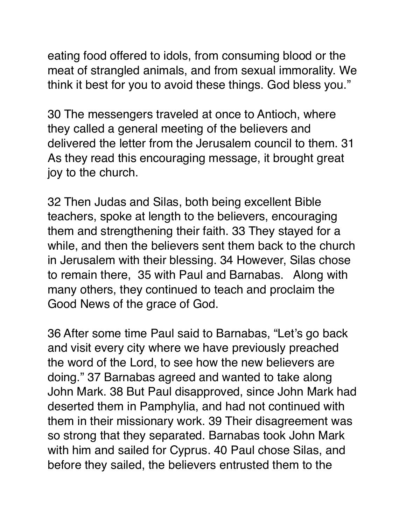eating food offered to idols, from consuming blood or the meat of strangled animals, and from sexual immorality. We think it best for you to avoid these things. God bless you."

30 The messengers traveled at once to Antioch, where they called a general meeting of the believers and delivered the letter from the Jerusalem council to them. 31 As they read this encouraging message, it brought great joy to the church.

32 Then Judas and Silas, both being excellent Bible teachers, spoke at length to the believers, encouraging them and strengthening their faith. 33 They stayed for a while, and then the believers sent them back to the church in Jerusalem with their blessing. 34 However, Silas chose to remain there, 35 with Paul and Barnabas. Along with many others, they continued to teach and proclaim the Good News of the grace of God.

36 After some time Paul said to Barnabas, "Let's go back and visit every city where we have previously preached the word of the Lord, to see how the new believers are doing." 37 Barnabas agreed and wanted to take along John Mark. 38 But Paul disapproved, since John Mark had deserted them in Pamphylia, and had not continued with them in their missionary work. 39 Their disagreement was so strong that they separated. Barnabas took John Mark with him and sailed for Cyprus. 40 Paul chose Silas, and before they sailed, the believers entrusted them to the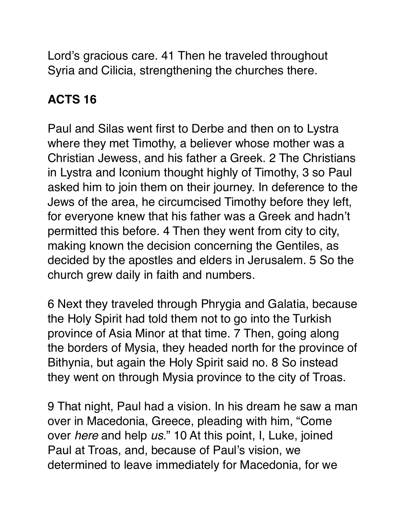Lord's gracious care. 41 Then he traveled throughout Syria and Cilicia, strengthening the churches there.

## **ACTS 16**

Paul and Silas went first to Derbe and then on to Lystra where they met Timothy, a believer whose mother was a Christian Jewess, and his father a Greek. 2 The Christians in Lystra and Iconium thought highly of Timothy, 3 so Paul asked him to join them on their journey. In deference to the Jews of the area, he circumcised Timothy before they left, for everyone knew that his father was a Greek and hadn't permitted this before. 4 Then they went from city to city, making known the decision concerning the Gentiles, as decided by the apostles and elders in Jerusalem. 5 So the church grew daily in faith and numbers.

6 Next they traveled through Phrygia and Galatia, because the Holy Spirit had told them not to go into the Turkish province of Asia Minor at that time. 7 Then, going along the borders of Mysia, they headed north for the province of Bithynia, but again the Holy Spirit said no. 8 So instead they went on through Mysia province to the city of Troas.

9 That night, Paul had a vision. In his dream he saw a man over in Macedonia, Greece, pleading with him, "Come over *here* and help *us*." 10 At this point, I, Luke, joined Paul at Troas, and, because of Paul's vision, we determined to leave immediately for Macedonia, for we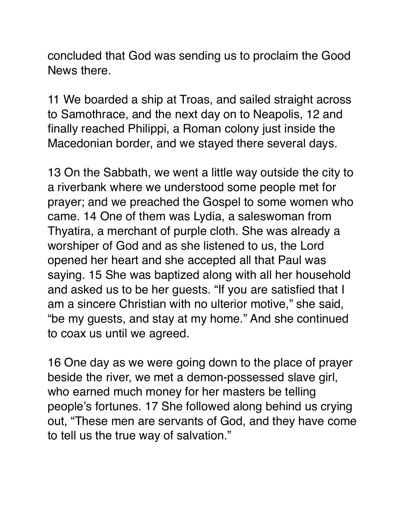concluded that God was sending us to proclaim the Good News there.

11 We boarded a ship at Troas, and sailed straight across to Samothrace, and the next day on to Neapolis, 12 and finally reached Philippi, a Roman colony just inside the Macedonian border, and we stayed there several days.

13 On the Sabbath, we went a little way outside the city to a riverbank where we understood some people met for prayer; and we preached the Gospel to some women who came. 14 One of them was Lydia, a saleswoman from Thyatira, a merchant of purple cloth. She was already a worshiper of God and as she listened to us, the Lord opened her heart and she accepted all that Paul was saying. 15 She was baptized along with all her household and asked us to be her guests. "If you are satisfied that I am a sincere Christian with no ulterior motive," she said, "be my guests, and stay at my home." And she continued to coax us until we agreed.

16 One day as we were going down to the place of prayer beside the river, we met a demon-possessed slave girl, who earned much money for her masters be telling people's fortunes. 17 She followed along behind us crying out, "These men are servants of God, and they have come to tell us the true way of salvation."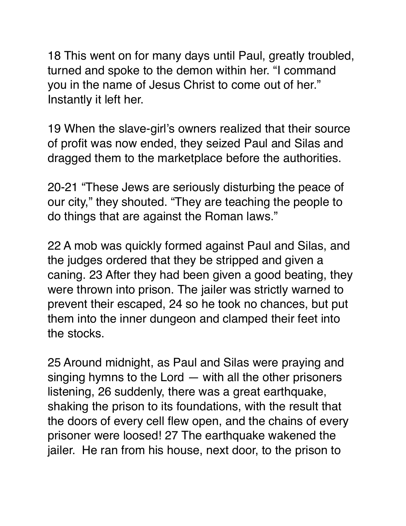18 This went on for many days until Paul, greatly troubled, turned and spoke to the demon within her. "I command you in the name of Jesus Christ to come out of her." Instantly it left her.

19 When the slave-girl's owners realized that their source of profit was now ended, they seized Paul and Silas and dragged them to the marketplace before the authorities.

20-21 "These Jews are seriously disturbing the peace of our city," they shouted. "They are teaching the people to do things that are against the Roman laws."

22 A mob was quickly formed against Paul and Silas, and the judges ordered that they be stripped and given a caning. 23 After they had been given a good beating, they were thrown into prison. The jailer was strictly warned to prevent their escaped, 24 so he took no chances, but put them into the inner dungeon and clamped their feet into the stocks.

25 Around midnight, as Paul and Silas were praying and singing hymns to the Lord — with all the other prisoners listening, 26 suddenly, there was a great earthquake, shaking the prison to its foundations, with the result that the doors of every cell flew open, and the chains of every prisoner were loosed! 27 The earthquake wakened the jailer. He ran from his house, next door, to the prison to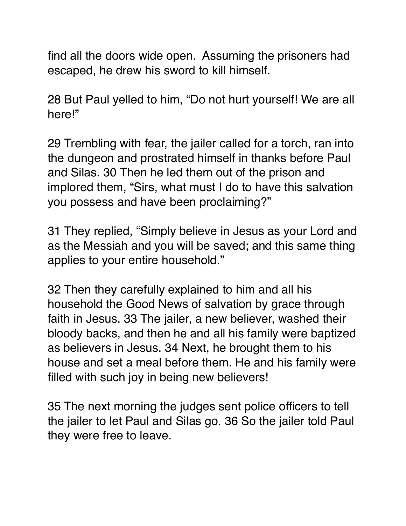find all the doors wide open. Assuming the prisoners had escaped, he drew his sword to kill himself.

28 But Paul yelled to him, "Do not hurt yourself! We are all here!"

29 Trembling with fear, the jailer called for a torch, ran into the dungeon and prostrated himself in thanks before Paul and Silas. 30 Then he led them out of the prison and implored them, "Sirs, what must I do to have this salvation you possess and have been proclaiming?"

31 They replied, "Simply believe in Jesus as your Lord and as the Messiah and you will be saved; and this same thing applies to your entire household."

32 Then they carefully explained to him and all his household the Good News of salvation by grace through faith in Jesus. 33 The jailer, a new believer, washed their bloody backs, and then he and all his family were baptized as believers in Jesus. 34 Next, he brought them to his house and set a meal before them. He and his family were filled with such joy in being new believers!

35 The next morning the judges sent police officers to tell the jailer to let Paul and Silas go. 36 So the jailer told Paul they were free to leave.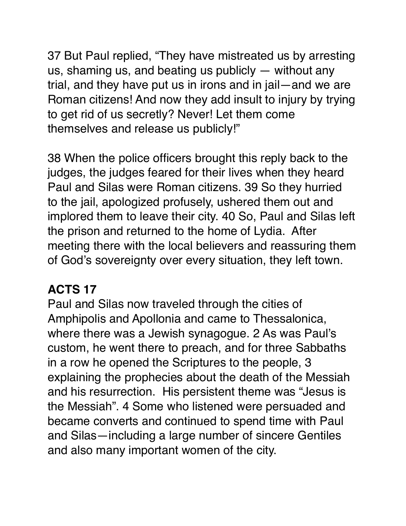37 But Paul replied, "They have mistreated us by arresting us, shaming us, and beating us publicly — without any trial, and they have put us in irons and in jail—and we are Roman citizens! And now they add insult to injury by trying to get rid of us secretly? Never! Let them come themselves and release us publicly!"

38 When the police officers brought this reply back to the judges, the judges feared for their lives when they heard Paul and Silas were Roman citizens. 39 So they hurried to the jail, apologized profusely, ushered them out and implored them to leave their city. 40 So, Paul and Silas left the prison and returned to the home of Lydia. After meeting there with the local believers and reassuring them of God's sovereignty over every situation, they left town.

#### **ACTS 17**

Paul and Silas now traveled through the cities of Amphipolis and Apollonia and came to Thessalonica, where there was a Jewish synagogue. 2 As was Paul's custom, he went there to preach, and for three Sabbaths in a row he opened the Scriptures to the people, 3 explaining the prophecies about the death of the Messiah and his resurrection. His persistent theme was "Jesus is the Messiah". 4 Some who listened were persuaded and became converts and continued to spend time with Paul and Silas—including a large number of sincere Gentiles and also many important women of the city.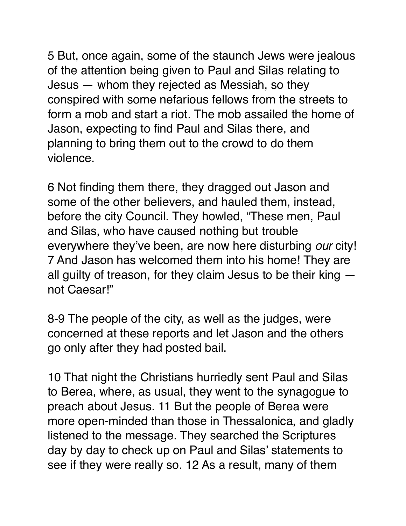5 But, once again, some of the staunch Jews were jealous of the attention being given to Paul and Silas relating to Jesus — whom they rejected as Messiah, so they conspired with some nefarious fellows from the streets to form a mob and start a riot. The mob assailed the home of Jason, expecting to find Paul and Silas there, and planning to bring them out to the crowd to do them violence.

6 Not finding them there, they dragged out Jason and some of the other believers, and hauled them, instead, before the city Council. They howled, "These men, Paul and Silas, who have caused nothing but trouble everywhere they've been, are now here disturbing *our* city! 7 And Jason has welcomed them into his home! They are all guilty of treason, for they claim Jesus to be their king not Caesar!"

8-9 The people of the city, as well as the judges, were concerned at these reports and let Jason and the others go only after they had posted bail.

10 That night the Christians hurriedly sent Paul and Silas to Berea, where, as usual, they went to the synagogue to preach about Jesus. 11 But the people of Berea were more open-minded than those in Thessalonica, and gladly listened to the message. They searched the Scriptures day by day to check up on Paul and Silas' statements to see if they were really so. 12 As a result, many of them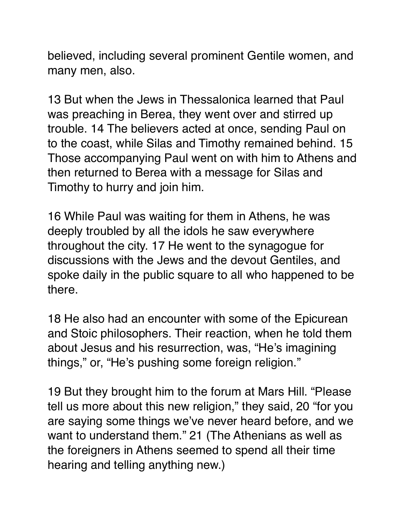believed, including several prominent Gentile women, and many men, also.

13 But when the Jews in Thessalonica learned that Paul was preaching in Berea, they went over and stirred up trouble. 14 The believers acted at once, sending Paul on to the coast, while Silas and Timothy remained behind. 15 Those accompanying Paul went on with him to Athens and then returned to Berea with a message for Silas and Timothy to hurry and join him.

16 While Paul was waiting for them in Athens, he was deeply troubled by all the idols he saw everywhere throughout the city. 17 He went to the synagogue for discussions with the Jews and the devout Gentiles, and spoke daily in the public square to all who happened to be there.

18 He also had an encounter with some of the Epicurean and Stoic philosophers. Their reaction, when he told them about Jesus and his resurrection, was, "He's imagining things," or, "He's pushing some foreign religion."

19 But they brought him to the forum at Mars Hill. "Please tell us more about this new religion," they said, 20 "for you are saying some things we've never heard before, and we want to understand them." 21 (The Athenians as well as the foreigners in Athens seemed to spend all their time hearing and telling anything new.)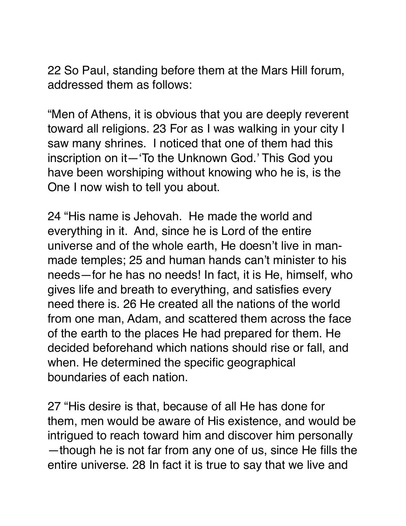22 So Paul, standing before them at the Mars Hill forum, addressed them as follows:

"Men of Athens, it is obvious that you are deeply reverent toward all religions. 23 For as I was walking in your city I saw many shrines. I noticed that one of them had this inscription on it—'To the Unknown God.' This God you have been worshiping without knowing who he is, is the One I now wish to tell you about.

24 "His name is Jehovah. He made the world and everything in it. And, since he is Lord of the entire universe and of the whole earth, He doesn't live in manmade temples; 25 and human hands can't minister to his needs—for he has no needs! In fact, it is He, himself, who gives life and breath to everything, and satisfies every need there is. 26 He created all the nations of the world from one man, Adam, and scattered them across the face of the earth to the places He had prepared for them. He decided beforehand which nations should rise or fall, and when. He determined the specific geographical boundaries of each nation.

27 "His desire is that, because of all He has done for them, men would be aware of His existence, and would be intrigued to reach toward him and discover him personally —though he is not far from any one of us, since He fills the entire universe. 28 In fact it is true to say that we live and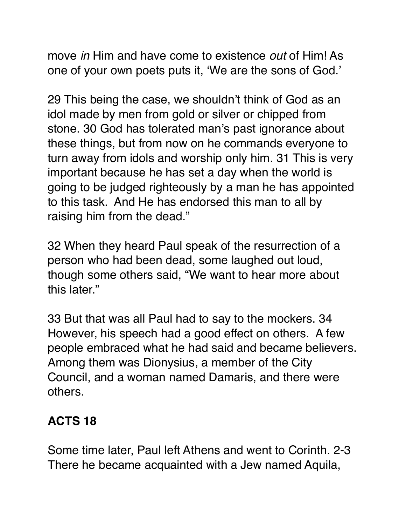move *in* Him and have come to existence *out* of Him! As one of your own poets puts it, 'We are the sons of God.'

29 This being the case, we shouldn't think of God as an idol made by men from gold or silver or chipped from stone. 30 God has tolerated man's past ignorance about these things, but from now on he commands everyone to turn away from idols and worship only him. 31 This is very important because he has set a day when the world is going to be judged righteously by a man he has appointed to this task. And He has endorsed this man to all by raising him from the dead."

32 When they heard Paul speak of the resurrection of a person who had been dead, some laughed out loud, though some others said, "We want to hear more about this later."

33 But that was all Paul had to say to the mockers. 34 However, his speech had a good effect on others. A few people embraced what he had said and became believers. Among them was Dionysius, a member of the City Council, and a woman named Damaris, and there were others.

# **ACTS 18**

Some time later, Paul left Athens and went to Corinth. 2-3 There he became acquainted with a Jew named Aquila,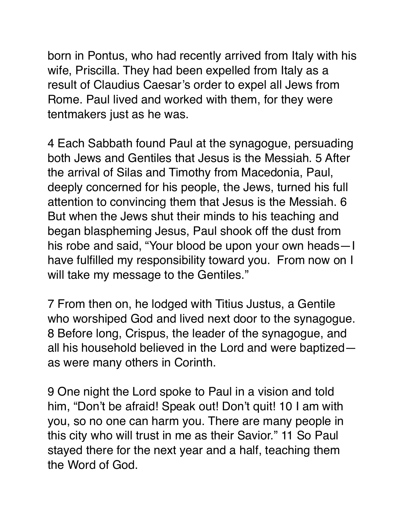born in Pontus, who had recently arrived from Italy with his wife, Priscilla. They had been expelled from Italy as a result of Claudius Caesar's order to expel all Jews from Rome. Paul lived and worked with them, for they were tentmakers just as he was.

4 Each Sabbath found Paul at the synagogue, persuading both Jews and Gentiles that Jesus is the Messiah. 5 After the arrival of Silas and Timothy from Macedonia, Paul, deeply concerned for his people, the Jews, turned his full attention to convincing them that Jesus is the Messiah. 6 But when the Jews shut their minds to his teaching and began blaspheming Jesus, Paul shook off the dust from his robe and said, "Your blood be upon your own heads—I have fulfilled my responsibility toward you. From now on I will take my message to the Gentiles."

7 From then on, he lodged with Titius Justus, a Gentile who worshiped God and lived next door to the synagogue. 8 Before long, Crispus, the leader of the synagogue, and all his household believed in the Lord and were baptized as were many others in Corinth.

9 One night the Lord spoke to Paul in a vision and told him, "Don't be afraid! Speak out! Don't quit! 10 I am with you, so no one can harm you. There are many people in this city who will trust in me as their Savior." 11 So Paul stayed there for the next year and a half, teaching them the Word of God.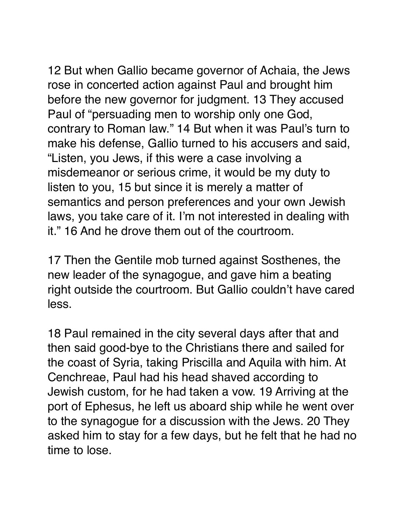12 But when Gallio became governor of Achaia, the Jews rose in concerted action against Paul and brought him before the new governor for judgment. 13 They accused Paul of "persuading men to worship only one God, contrary to Roman law." 14 But when it was Paul's turn to make his defense, Gallio turned to his accusers and said, "Listen, you Jews, if this were a case involving a misdemeanor or serious crime, it would be my duty to listen to you, 15 but since it is merely a matter of semantics and person preferences and your own Jewish laws, you take care of it. I'm not interested in dealing with it." 16 And he drove them out of the courtroom.

17 Then the Gentile mob turned against Sosthenes, the new leader of the synagogue, and gave him a beating right outside the courtroom. But Gallio couldn't have cared less.

18 Paul remained in the city several days after that and then said good-bye to the Christians there and sailed for the coast of Syria, taking Priscilla and Aquila with him. At Cenchreae, Paul had his head shaved according to Jewish custom, for he had taken a vow. 19 Arriving at the port of Ephesus, he left us aboard ship while he went over to the synagogue for a discussion with the Jews. 20 They asked him to stay for a few days, but he felt that he had no time to lose.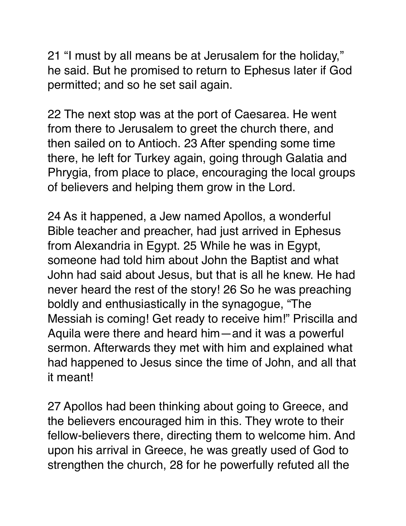21 "I must by all means be at Jerusalem for the holiday," he said. But he promised to return to Ephesus later if God permitted; and so he set sail again.

22 The next stop was at the port of Caesarea. He went from there to Jerusalem to greet the church there, and then sailed on to Antioch. 23 After spending some time there, he left for Turkey again, going through Galatia and Phrygia, from place to place, encouraging the local groups of believers and helping them grow in the Lord.

24 As it happened, a Jew named Apollos, a wonderful Bible teacher and preacher, had just arrived in Ephesus from Alexandria in Egypt. 25 While he was in Egypt, someone had told him about John the Baptist and what John had said about Jesus, but that is all he knew. He had never heard the rest of the story! 26 So he was preaching boldly and enthusiastically in the synagogue, "The Messiah is coming! Get ready to receive him!" Priscilla and Aquila were there and heard him—and it was a powerful sermon. Afterwards they met with him and explained what had happened to Jesus since the time of John, and all that it meant!

27 Apollos had been thinking about going to Greece, and the believers encouraged him in this. They wrote to their fellow-believers there, directing them to welcome him. And upon his arrival in Greece, he was greatly used of God to strengthen the church, 28 for he powerfully refuted all the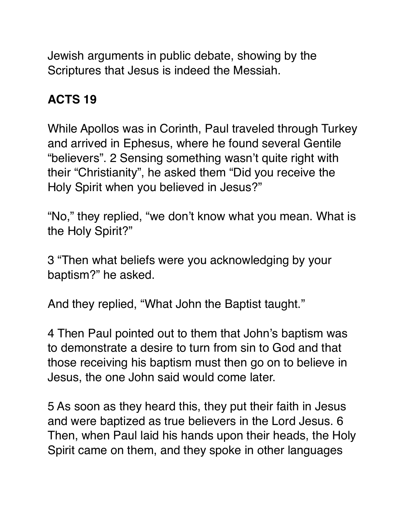Jewish arguments in public debate, showing by the Scriptures that Jesus is indeed the Messiah.

## **ACTS 19**

While Apollos was in Corinth, Paul traveled through Turkey and arrived in Ephesus, where he found several Gentile "believers". 2 Sensing something wasn't quite right with their "Christianity", he asked them "Did you receive the Holy Spirit when you believed in Jesus?"

"No," they replied, "we don't know what you mean. What is the Holy Spirit?"

3 "Then what beliefs were you acknowledging by your baptism?" he asked.

And they replied, "What John the Baptist taught."

4 Then Paul pointed out to them that John's baptism was to demonstrate a desire to turn from sin to God and that those receiving his baptism must then go on to believe in Jesus, the one John said would come later.

5 As soon as they heard this, they put their faith in Jesus and were baptized as true believers in the Lord Jesus. 6 Then, when Paul laid his hands upon their heads, the Holy Spirit came on them, and they spoke in other languages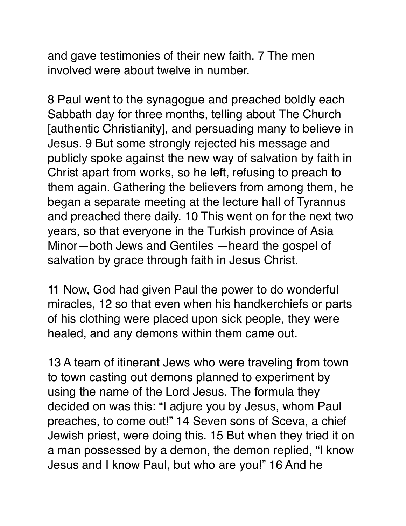and gave testimonies of their new faith. 7 The men involved were about twelve in number.

8 Paul went to the synagogue and preached boldly each Sabbath day for three months, telling about The Church [authentic Christianity], and persuading many to believe in Jesus. 9 But some strongly rejected his message and publicly spoke against the new way of salvation by faith in Christ apart from works, so he left, refusing to preach to them again. Gathering the believers from among them, he began a separate meeting at the lecture hall of Tyrannus and preached there daily. 10 This went on for the next two years, so that everyone in the Turkish province of Asia Minor—both Jews and Gentiles —heard the gospel of salvation by grace through faith in Jesus Christ.

11 Now, God had given Paul the power to do wonderful miracles, 12 so that even when his handkerchiefs or parts of his clothing were placed upon sick people, they were healed, and any demons within them came out.

13 A team of itinerant Jews who were traveling from town to town casting out demons planned to experiment by using the name of the Lord Jesus. The formula they decided on was this: "I adjure you by Jesus, whom Paul preaches, to come out!" 14 Seven sons of Sceva, a chief Jewish priest, were doing this. 15 But when they tried it on a man possessed by a demon, the demon replied, "I know Jesus and I know Paul, but who are you!" 16 And he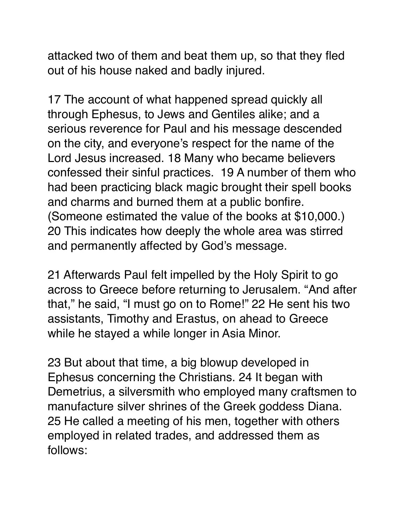attacked two of them and beat them up, so that they fled out of his house naked and badly injured.

17 The account of what happened spread quickly all through Ephesus, to Jews and Gentiles alike; and a serious reverence for Paul and his message descended on the city, and everyone's respect for the name of the Lord Jesus increased. 18 Many who became believers confessed their sinful practices. 19 A number of them who had been practicing black magic brought their spell books and charms and burned them at a public bonfire. (Someone estimated the value of the books at \$10,000.) 20 This indicates how deeply the whole area was stirred and permanently affected by God's message.

21 Afterwards Paul felt impelled by the Holy Spirit to go across to Greece before returning to Jerusalem. "And after that," he said, "I must go on to Rome!" 22 He sent his two assistants, Timothy and Erastus, on ahead to Greece while he stayed a while longer in Asia Minor.

23 But about that time, a big blowup developed in Ephesus concerning the Christians. 24 It began with Demetrius, a silversmith who employed many craftsmen to manufacture silver shrines of the Greek goddess Diana. 25 He called a meeting of his men, together with others employed in related trades, and addressed them as follows: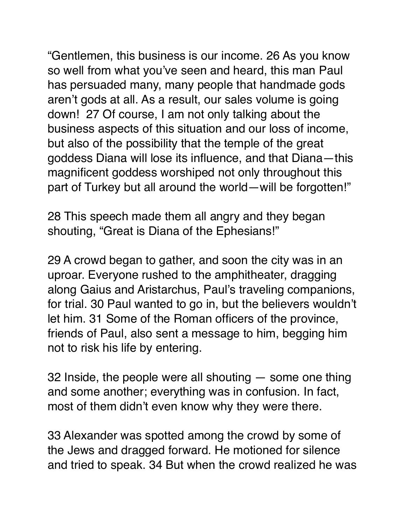"Gentlemen, this business is our income. 26 As you know so well from what you've seen and heard, this man Paul has persuaded many, many people that handmade gods aren't gods at all. As a result, our sales volume is going down! 27 Of course, I am not only talking about the business aspects of this situation and our loss of income, but also of the possibility that the temple of the great goddess Diana will lose its influence, and that Diana—this magnificent goddess worshiped not only throughout this part of Turkey but all around the world—will be forgotten!"

28 This speech made them all angry and they began shouting, "Great is Diana of the Ephesians!"

29 A crowd began to gather, and soon the city was in an uproar. Everyone rushed to the amphitheater, dragging along Gaius and Aristarchus, Paul's traveling companions, for trial. 30 Paul wanted to go in, but the believers wouldn't let him. 31 Some of the Roman officers of the province, friends of Paul, also sent a message to him, begging him not to risk his life by entering.

32 Inside, the people were all shouting — some one thing and some another; everything was in confusion. In fact, most of them didn't even know why they were there.

33 Alexander was spotted among the crowd by some of the Jews and dragged forward. He motioned for silence and tried to speak. 34 But when the crowd realized he was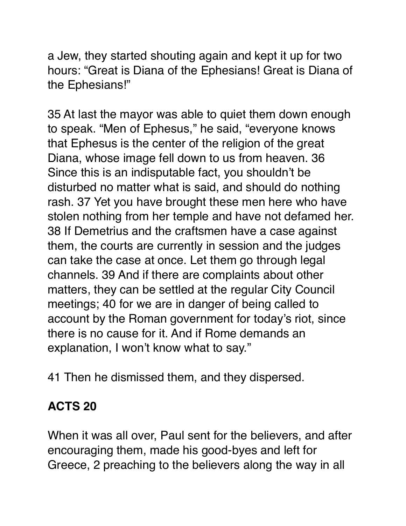a Jew, they started shouting again and kept it up for two hours: "Great is Diana of the Ephesians! Great is Diana of the Ephesians!"

35 At last the mayor was able to quiet them down enough to speak. "Men of Ephesus," he said, "everyone knows that Ephesus is the center of the religion of the great Diana, whose image fell down to us from heaven. 36 Since this is an indisputable fact, you shouldn't be disturbed no matter what is said, and should do nothing rash. 37 Yet you have brought these men here who have stolen nothing from her temple and have not defamed her. 38 If Demetrius and the craftsmen have a case against them, the courts are currently in session and the judges can take the case at once. Let them go through legal channels. 39 And if there are complaints about other matters, they can be settled at the regular City Council meetings; 40 for we are in danger of being called to account by the Roman government for today's riot, since there is no cause for it. And if Rome demands an explanation, I won't know what to say."

41 Then he dismissed them, and they dispersed.

#### **ACTS 20**

When it was all over, Paul sent for the believers, and after encouraging them, made his good-byes and left for Greece, 2 preaching to the believers along the way in all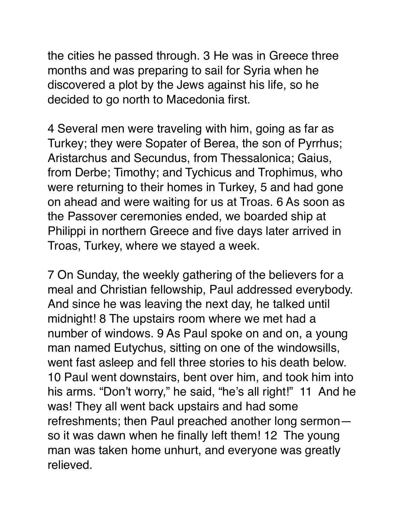the cities he passed through. 3 He was in Greece three months and was preparing to sail for Syria when he discovered a plot by the Jews against his life, so he decided to go north to Macedonia first.

4 Several men were traveling with him, going as far as Turkey; they were Sopater of Berea, the son of Pyrrhus; Aristarchus and Secundus, from Thessalonica; Gaius, from Derbe; Timothy; and Tychicus and Trophimus, who were returning to their homes in Turkey, 5 and had gone on ahead and were waiting for us at Troas. 6 As soon as the Passover ceremonies ended, we boarded ship at Philippi in northern Greece and five days later arrived in Troas, Turkey, where we stayed a week.

7 On Sunday, the weekly gathering of the believers for a meal and Christian fellowship, Paul addressed everybody. And since he was leaving the next day, he talked until midnight! 8 The upstairs room where we met had a number of windows. 9 As Paul spoke on and on, a young man named Eutychus, sitting on one of the windowsills, went fast asleep and fell three stories to his death below. 10 Paul went downstairs, bent over him, and took him into his arms. "Don't worry," he said, "he's all right!" 11 And he was! They all went back upstairs and had some refreshments; then Paul preached another long sermon so it was dawn when he finally left them! 12 The young man was taken home unhurt, and everyone was greatly relieved.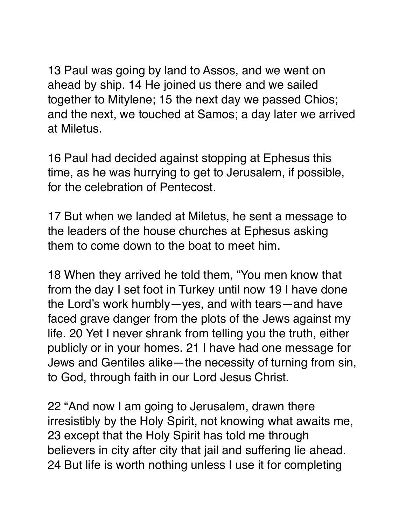13 Paul was going by land to Assos, and we went on ahead by ship. 14 He joined us there and we sailed together to Mitylene; 15 the next day we passed Chios; and the next, we touched at Samos; a day later we arrived at Miletus.

16 Paul had decided against stopping at Ephesus this time, as he was hurrying to get to Jerusalem, if possible, for the celebration of Pentecost.

17 But when we landed at Miletus, he sent a message to the leaders of the house churches at Ephesus asking them to come down to the boat to meet him.

18 When they arrived he told them, "You men know that from the day I set foot in Turkey until now 19 I have done the Lord's work humbly—yes, and with tears—and have faced grave danger from the plots of the Jews against my life. 20 Yet I never shrank from telling you the truth, either publicly or in your homes. 21 I have had one message for Jews and Gentiles alike—the necessity of turning from sin, to God, through faith in our Lord Jesus Christ.

22 "And now I am going to Jerusalem, drawn there irresistibly by the Holy Spirit, not knowing what awaits me, 23 except that the Holy Spirit has told me through believers in city after city that jail and suffering lie ahead. 24 But life is worth nothing unless I use it for completing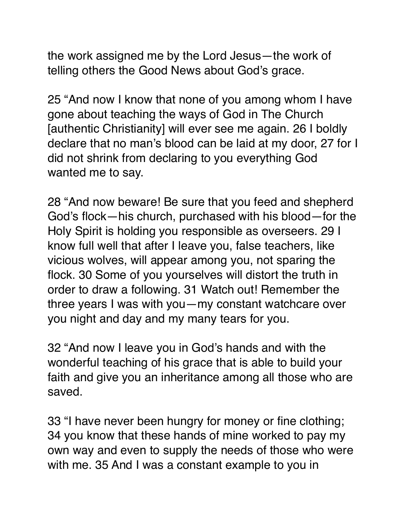the work assigned me by the Lord Jesus—the work of telling others the Good News about God's grace.

25 "And now I know that none of you among whom I have gone about teaching the ways of God in The Church [authentic Christianity] will ever see me again. 26 I boldly declare that no man's blood can be laid at my door, 27 for I did not shrink from declaring to you everything God wanted me to say.

28 "And now beware! Be sure that you feed and shepherd God's flock—his church, purchased with his blood—for the Holy Spirit is holding you responsible as overseers. 29 I know full well that after I leave you, false teachers, like vicious wolves, will appear among you, not sparing the flock. 30 Some of you yourselves will distort the truth in order to draw a following. 31 Watch out! Remember the three years I was with you—my constant watchcare over you night and day and my many tears for you.

32 "And now I leave you in God's hands and with the wonderful teaching of his grace that is able to build your faith and give you an inheritance among all those who are saved.

33 "I have never been hungry for money or fine clothing; 34 you know that these hands of mine worked to pay my own way and even to supply the needs of those who were with me. 35 And I was a constant example to you in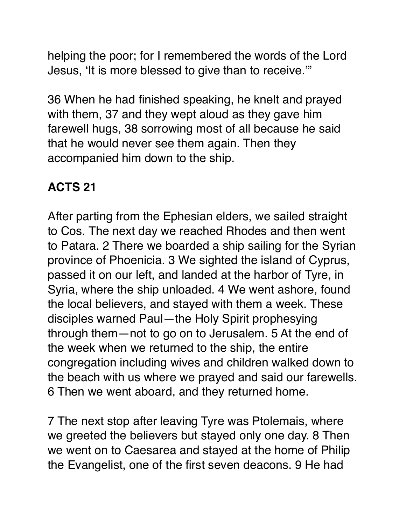helping the poor; for I remembered the words of the Lord Jesus, 'It is more blessed to give than to receive.'"

36 When he had finished speaking, he knelt and prayed with them, 37 and they wept aloud as they gave him farewell hugs, 38 sorrowing most of all because he said that he would never see them again. Then they accompanied him down to the ship.

### **ACTS 21**

After parting from the Ephesian elders, we sailed straight to Cos. The next day we reached Rhodes and then went to Patara. 2 There we boarded a ship sailing for the Syrian province of Phoenicia. 3 We sighted the island of Cyprus, passed it on our left, and landed at the harbor of Tyre, in Syria, where the ship unloaded. 4 We went ashore, found the local believers, and stayed with them a week. These disciples warned Paul—the Holy Spirit prophesying through them—not to go on to Jerusalem. 5 At the end of the week when we returned to the ship, the entire congregation including wives and children walked down to the beach with us where we prayed and said our farewells. 6 Then we went aboard, and they returned home.

7 The next stop after leaving Tyre was Ptolemais, where we greeted the believers but stayed only one day. 8 Then we went on to Caesarea and stayed at the home of Philip the Evangelist, one of the first seven deacons. 9 He had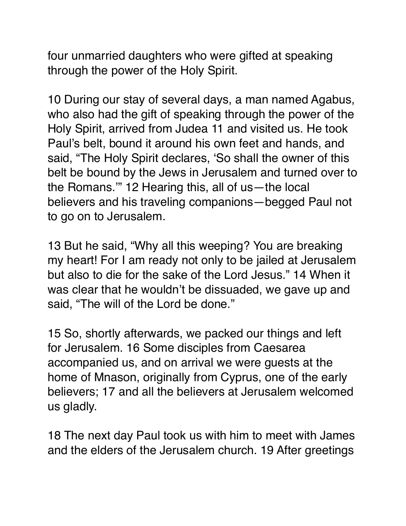four unmarried daughters who were gifted at speaking through the power of the Holy Spirit.

10 During our stay of several days, a man named Agabus, who also had the gift of speaking through the power of the Holy Spirit, arrived from Judea 11 and visited us. He took Paul's belt, bound it around his own feet and hands, and said, "The Holy Spirit declares, 'So shall the owner of this belt be bound by the Jews in Jerusalem and turned over to the Romans.'" 12 Hearing this, all of us—the local believers and his traveling companions—begged Paul not to go on to Jerusalem.

13 But he said, "Why all this weeping? You are breaking my heart! For I am ready not only to be jailed at Jerusalem but also to die for the sake of the Lord Jesus." 14 When it was clear that he wouldn't be dissuaded, we gave up and said, "The will of the Lord be done."

15 So, shortly afterwards, we packed our things and left for Jerusalem. 16 Some disciples from Caesarea accompanied us, and on arrival we were guests at the home of Mnason, originally from Cyprus, one of the early believers; 17 and all the believers at Jerusalem welcomed us gladly.

18 The next day Paul took us with him to meet with James and the elders of the Jerusalem church. 19 After greetings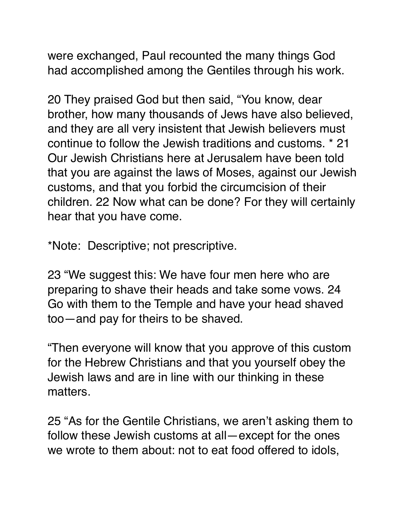were exchanged, Paul recounted the many things God had accomplished among the Gentiles through his work.

20 They praised God but then said, "You know, dear brother, how many thousands of Jews have also believed, and they are all very insistent that Jewish believers must continue to follow the Jewish traditions and customs. \* 21 Our Jewish Christians here at Jerusalem have been told that you are against the laws of Moses, against our Jewish customs, and that you forbid the circumcision of their children. 22 Now what can be done? For they will certainly hear that you have come.

\*Note: Descriptive; not prescriptive.

23 "We suggest this: We have four men here who are preparing to shave their heads and take some vows. 24 Go with them to the Temple and have your head shaved too—and pay for theirs to be shaved.

"Then everyone will know that you approve of this custom for the Hebrew Christians and that you yourself obey the Jewish laws and are in line with our thinking in these matters.

25 "As for the Gentile Christians, we aren't asking them to follow these Jewish customs at all—except for the ones we wrote to them about: not to eat food offered to idols,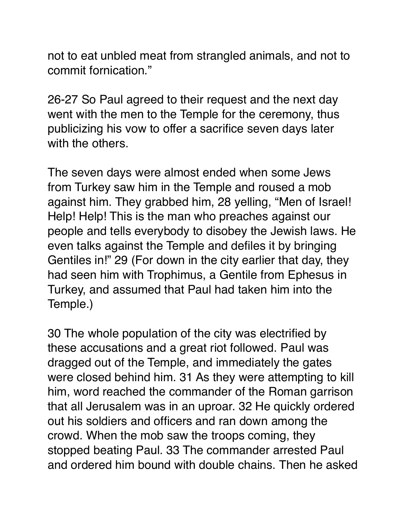not to eat unbled meat from strangled animals, and not to commit fornication."

26-27 So Paul agreed to their request and the next day went with the men to the Temple for the ceremony, thus publicizing his vow to offer a sacrifice seven days later with the others.

The seven days were almost ended when some Jews from Turkey saw him in the Temple and roused a mob against him. They grabbed him, 28 yelling, "Men of Israel! Help! Help! This is the man who preaches against our people and tells everybody to disobey the Jewish laws. He even talks against the Temple and defiles it by bringing Gentiles in!" 29 (For down in the city earlier that day, they had seen him with Trophimus, a Gentile from Ephesus in Turkey, and assumed that Paul had taken him into the Temple.)

30 The whole population of the city was electrified by these accusations and a great riot followed. Paul was dragged out of the Temple, and immediately the gates were closed behind him. 31 As they were attempting to kill him, word reached the commander of the Roman garrison that all Jerusalem was in an uproar. 32 He quickly ordered out his soldiers and officers and ran down among the crowd. When the mob saw the troops coming, they stopped beating Paul. 33 The commander arrested Paul and ordered him bound with double chains. Then he asked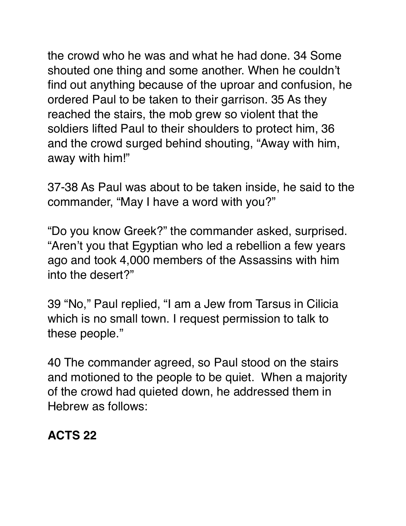the crowd who he was and what he had done. 34 Some shouted one thing and some another. When he couldn't find out anything because of the uproar and confusion, he ordered Paul to be taken to their garrison. 35 As they reached the stairs, the mob grew so violent that the soldiers lifted Paul to their shoulders to protect him, 36 and the crowd surged behind shouting, "Away with him, away with him!"

37-38 As Paul was about to be taken inside, he said to the commander, "May I have a word with you?"

"Do you know Greek?" the commander asked, surprised. "Aren't you that Egyptian who led a rebellion a few years ago and took 4,000 members of the Assassins with him into the desert?"

39 "No," Paul replied, "I am a Jew from Tarsus in Cilicia which is no small town. I request permission to talk to these people."

40 The commander agreed, so Paul stood on the stairs and motioned to the people to be quiet. When a majority of the crowd had quieted down, he addressed them in Hebrew as follows:

### **ACTS 22**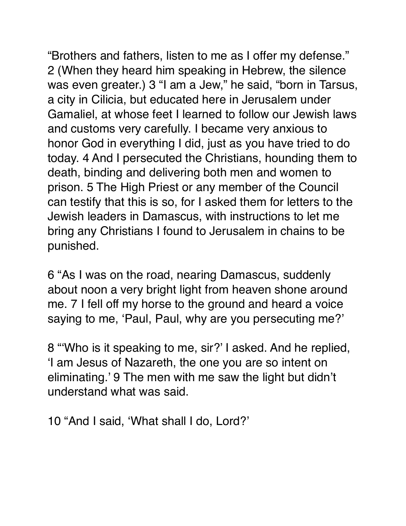"Brothers and fathers, listen to me as I offer my defense." 2 (When they heard him speaking in Hebrew, the silence was even greater.) 3 "I am a Jew," he said, "born in Tarsus, a city in Cilicia, but educated here in Jerusalem under Gamaliel, at whose feet I learned to follow our Jewish laws and customs very carefully. I became very anxious to honor God in everything I did, just as you have tried to do today. 4 And I persecuted the Christians, hounding them to death, binding and delivering both men and women to prison. 5 The High Priest or any member of the Council can testify that this is so, for I asked them for letters to the Jewish leaders in Damascus, with instructions to let me bring any Christians I found to Jerusalem in chains to be punished.

6 "As I was on the road, nearing Damascus, suddenly about noon a very bright light from heaven shone around me. 7 I fell off my horse to the ground and heard a voice saying to me, 'Paul, Paul, why are you persecuting me?'

8 "'Who is it speaking to me, sir?' I asked. And he replied, 'I am Jesus of Nazareth, the one you are so intent on eliminating.' 9 The men with me saw the light but didn't understand what was said.

10 "And I said, 'What shall I do, Lord?'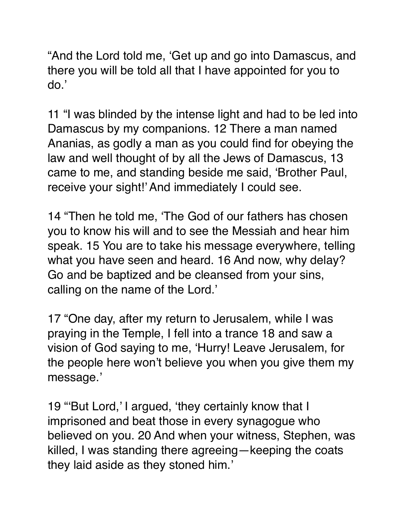"And the Lord told me, 'Get up and go into Damascus, and there you will be told all that I have appointed for you to do.'

11 "I was blinded by the intense light and had to be led into Damascus by my companions. 12 There a man named Ananias, as godly a man as you could find for obeying the law and well thought of by all the Jews of Damascus, 13 came to me, and standing beside me said, 'Brother Paul, receive your sight!' And immediately I could see.

14 "Then he told me, 'The God of our fathers has chosen you to know his will and to see the Messiah and hear him speak. 15 You are to take his message everywhere, telling what you have seen and heard. 16 And now, why delay? Go and be baptized and be cleansed from your sins, calling on the name of the Lord.'

17 "One day, after my return to Jerusalem, while I was praying in the Temple, I fell into a trance 18 and saw a vision of God saying to me, 'Hurry! Leave Jerusalem, for the people here won't believe you when you give them my message.'

19 "'But Lord,' I argued, 'they certainly know that I imprisoned and beat those in every synagogue who believed on you. 20 And when your witness, Stephen, was killed, I was standing there agreeing—keeping the coats they laid aside as they stoned him.'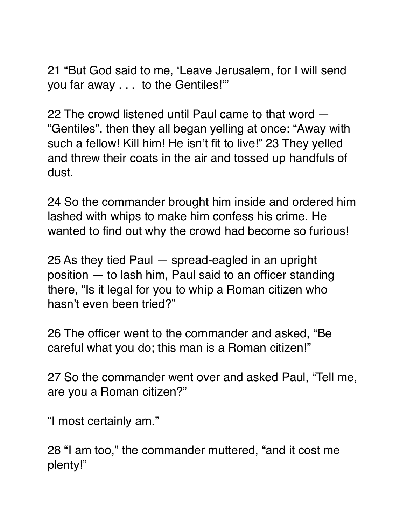21 "But God said to me, 'Leave Jerusalem, for I will send you far away . . . to the Gentiles!'"

22 The crowd listened until Paul came to that word — "Gentiles", then they all began yelling at once: "Away with such a fellow! Kill him! He isn't fit to live!" 23 They yelled and threw their coats in the air and tossed up handfuls of dust.

24 So the commander brought him inside and ordered him lashed with whips to make him confess his crime. He wanted to find out why the crowd had become so furious!

25 As they tied Paul — spread-eagled in an upright position — to lash him, Paul said to an officer standing there, "Is it legal for you to whip a Roman citizen who hasn't even been tried?"

26 The officer went to the commander and asked, "Be careful what you do; this man is a Roman citizen!"

27 So the commander went over and asked Paul, "Tell me, are you a Roman citizen?"

"I most certainly am."

28 "I am too," the commander muttered, "and it cost me plenty!"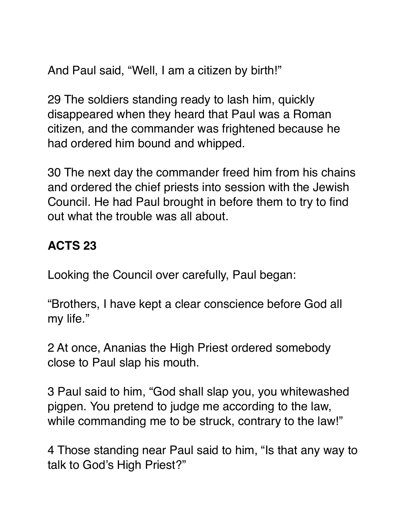And Paul said, "Well, I am a citizen by birth!"

29 The soldiers standing ready to lash him, quickly disappeared when they heard that Paul was a Roman citizen, and the commander was frightened because he had ordered him bound and whipped.

30 The next day the commander freed him from his chains and ordered the chief priests into session with the Jewish Council. He had Paul brought in before them to try to find out what the trouble was all about.

### **ACTS 23**

Looking the Council over carefully, Paul began:

"Brothers, I have kept a clear conscience before God all my life."

2 At once, Ananias the High Priest ordered somebody close to Paul slap his mouth.

3 Paul said to him, "God shall slap you, you whitewashed pigpen. You pretend to judge me according to the law, while commanding me to be struck, contrary to the law!"

4 Those standing near Paul said to him, "Is that any way to talk to God's High Priest?"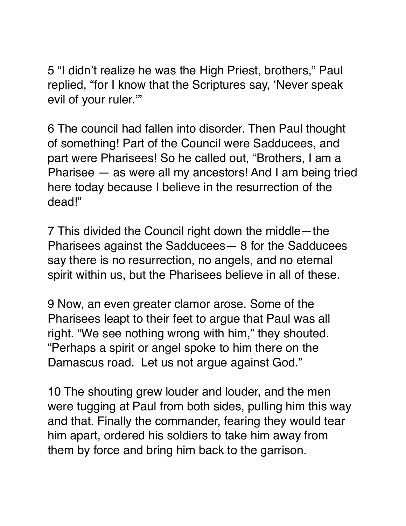5 "I didn't realize he was the High Priest, brothers," Paul replied, "for I know that the Scriptures say, 'Never speak evil of your ruler.'"

6 The council had fallen into disorder. Then Paul thought of something! Part of the Council were Sadducees, and part were Pharisees! So he called out, "Brothers, I am a Pharisee — as were all my ancestors! And I am being tried here today because I believe in the resurrection of the dead!"

7 This divided the Council right down the middle—the Pharisees against the Sadducees— 8 for the Sadducees say there is no resurrection, no angels, and no eternal spirit within us, but the Pharisees believe in all of these.

9 Now, an even greater clamor arose. Some of the Pharisees leapt to their feet to argue that Paul was all right. "We see nothing wrong with him," they shouted. "Perhaps a spirit or angel spoke to him there on the Damascus road. Let us not argue against God."

10 The shouting grew louder and louder, and the men were tugging at Paul from both sides, pulling him this way and that. Finally the commander, fearing they would tear him apart, ordered his soldiers to take him away from them by force and bring him back to the garrison.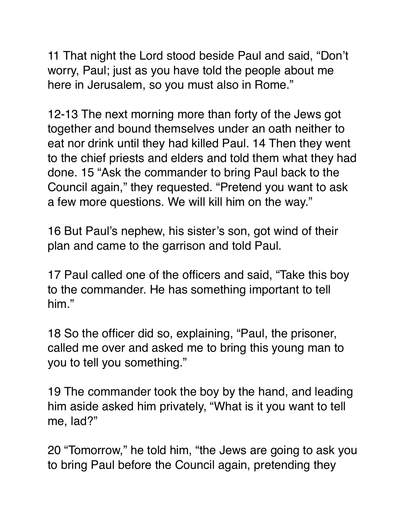11 That night the Lord stood beside Paul and said, "Don't worry, Paul; just as you have told the people about me here in Jerusalem, so you must also in Rome."

12-13 The next morning more than forty of the Jews got together and bound themselves under an oath neither to eat nor drink until they had killed Paul. 14 Then they went to the chief priests and elders and told them what they had done. 15 "Ask the commander to bring Paul back to the Council again," they requested. "Pretend you want to ask a few more questions. We will kill him on the way."

16 But Paul's nephew, his sister's son, got wind of their plan and came to the garrison and told Paul.

17 Paul called one of the officers and said, "Take this boy to the commander. He has something important to tell him."

18 So the officer did so, explaining, "Paul, the prisoner, called me over and asked me to bring this young man to you to tell you something."

19 The commander took the boy by the hand, and leading him aside asked him privately, "What is it you want to tell me, lad?"

20 "Tomorrow," he told him, "the Jews are going to ask you to bring Paul before the Council again, pretending they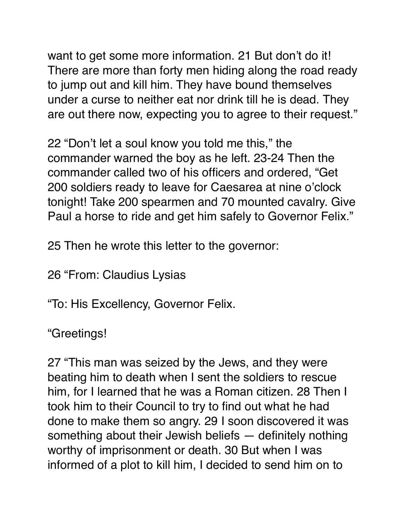want to get some more information. 21 But don't do it! There are more than forty men hiding along the road ready to jump out and kill him. They have bound themselves under a curse to neither eat nor drink till he is dead. They are out there now, expecting you to agree to their request."

22 "Don't let a soul know you told me this," the commander warned the boy as he left. 23-24 Then the commander called two of his officers and ordered, "Get 200 soldiers ready to leave for Caesarea at nine o'clock tonight! Take 200 spearmen and 70 mounted cavalry. Give Paul a horse to ride and get him safely to Governor Felix."

25 Then he wrote this letter to the governor:

26 "From: Claudius Lysias

"To: His Excellency, Governor Felix.

"Greetings!

27 "This man was seized by the Jews, and they were beating him to death when I sent the soldiers to rescue him, for I learned that he was a Roman citizen. 28 Then I took him to their Council to try to find out what he had done to make them so angry. 29 I soon discovered it was something about their Jewish beliefs — definitely nothing worthy of imprisonment or death. 30 But when I was informed of a plot to kill him, I decided to send him on to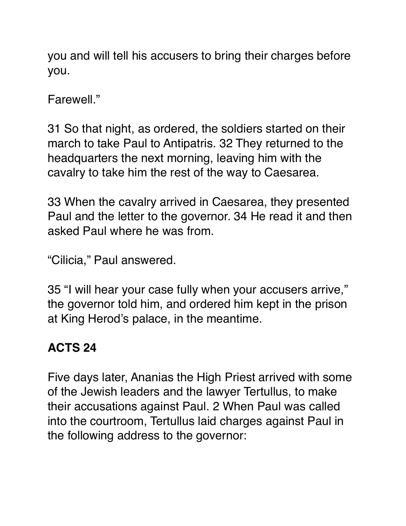you and will tell his accusers to bring their charges before you.

Farewell."

31 So that night, as ordered, the soldiers started on their march to take Paul to Antipatris. 32 They returned to the headquarters the next morning, leaving him with the cavalry to take him the rest of the way to Caesarea.

33 When the cavalry arrived in Caesarea, they presented Paul and the letter to the governor. 34 He read it and then asked Paul where he was from.

"Cilicia," Paul answered.

35 "I will hear your case fully when your accusers arrive," the governor told him, and ordered him kept in the prison at King Herod's palace, in the meantime.

### **ACTS 24**

Five days later, Ananias the High Priest arrived with some of the Jewish leaders and the lawyer Tertullus, to make their accusations against Paul. 2 When Paul was called into the courtroom, Tertullus laid charges against Paul in the following address to the governor: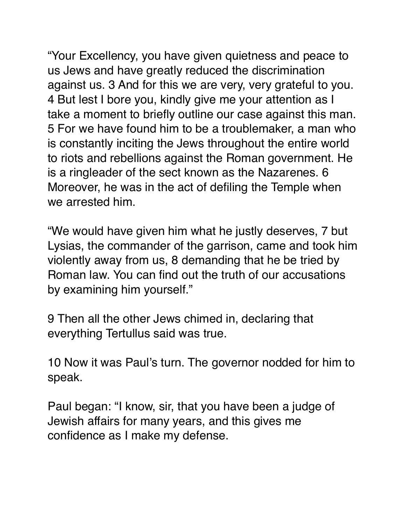"Your Excellency, you have given quietness and peace to us Jews and have greatly reduced the discrimination against us. 3 And for this we are very, very grateful to you. 4 But lest I bore you, kindly give me your attention as I take a moment to briefly outline our case against this man. 5 For we have found him to be a troublemaker, a man who is constantly inciting the Jews throughout the entire world to riots and rebellions against the Roman government. He is a ringleader of the sect known as the Nazarenes. 6 Moreover, he was in the act of defiling the Temple when we arrested him.

"We would have given him what he justly deserves, 7 but Lysias, the commander of the garrison, came and took him violently away from us, 8 demanding that he be tried by Roman law. You can find out the truth of our accusations by examining him yourself."

9 Then all the other Jews chimed in, declaring that everything Tertullus said was true.

10 Now it was Paul's turn. The governor nodded for him to speak.

Paul began: "I know, sir, that you have been a judge of Jewish affairs for many years, and this gives me confidence as I make my defense.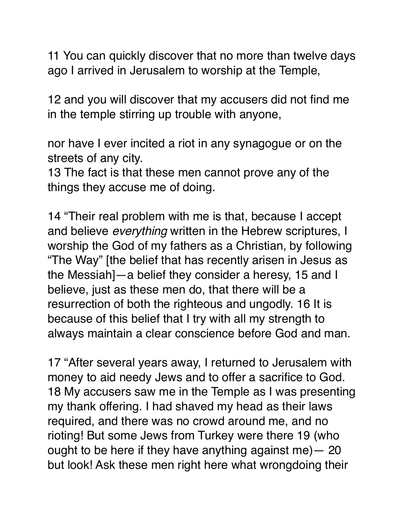11 You can quickly discover that no more than twelve days ago I arrived in Jerusalem to worship at the Temple,

12 and you will discover that my accusers did not find me in the temple stirring up trouble with anyone,

nor have I ever incited a riot in any synagogue or on the streets of any city.

13 The fact is that these men cannot prove any of the things they accuse me of doing.

14 "Their real problem with me is that, because I accept and believe *everything* written in the Hebrew scriptures, I worship the God of my fathers as a Christian, by following "The Way" [the belief that has recently arisen in Jesus as the Messiah]—a belief they consider a heresy, 15 and I believe, just as these men do, that there will be a resurrection of both the righteous and ungodly. 16 It is because of this belief that I try with all my strength to always maintain a clear conscience before God and man.

17 "After several years away, I returned to Jerusalem with money to aid needy Jews and to offer a sacrifice to God. 18 My accusers saw me in the Temple as I was presenting my thank offering. I had shaved my head as their laws required, and there was no crowd around me, and no rioting! But some Jews from Turkey were there 19 (who ought to be here if they have anything against me)— 20 but look! Ask these men right here what wrongdoing their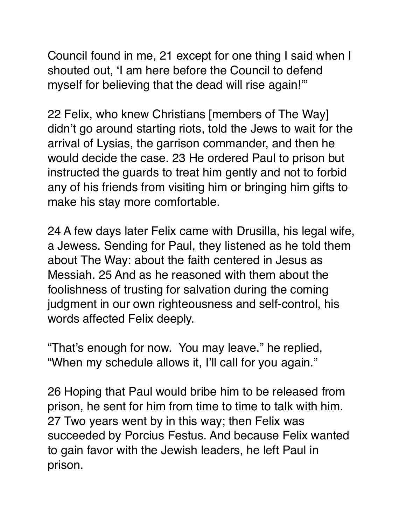Council found in me, 21 except for one thing I said when I shouted out, 'I am here before the Council to defend myself for believing that the dead will rise again!'"

22 Felix, who knew Christians [members of The Way] didn't go around starting riots, told the Jews to wait for the arrival of Lysias, the garrison commander, and then he would decide the case. 23 He ordered Paul to prison but instructed the guards to treat him gently and not to forbid any of his friends from visiting him or bringing him gifts to make his stay more comfortable.

24 A few days later Felix came with Drusilla, his legal wife, a Jewess. Sending for Paul, they listened as he told them about The Way: about the faith centered in Jesus as Messiah. 25 And as he reasoned with them about the foolishness of trusting for salvation during the coming judgment in our own righteousness and self-control, his words affected Felix deeply.

"That's enough for now. You may leave." he replied, "When my schedule allows it, I'll call for you again."

26 Hoping that Paul would bribe him to be released from prison, he sent for him from time to time to talk with him. 27 Two years went by in this way; then Felix was succeeded by Porcius Festus. And because Felix wanted to gain favor with the Jewish leaders, he left Paul in prison.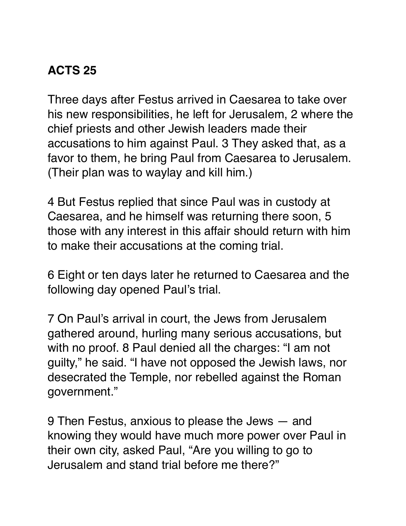# **ACTS 25**

Three days after Festus arrived in Caesarea to take over his new responsibilities, he left for Jerusalem, 2 where the chief priests and other Jewish leaders made their accusations to him against Paul. 3 They asked that, as a favor to them, he bring Paul from Caesarea to Jerusalem. (Their plan was to waylay and kill him.)

4 But Festus replied that since Paul was in custody at Caesarea, and he himself was returning there soon, 5 those with any interest in this affair should return with him to make their accusations at the coming trial.

6 Eight or ten days later he returned to Caesarea and the following day opened Paul's trial.

7 On Paul's arrival in court, the Jews from Jerusalem gathered around, hurling many serious accusations, but with no proof. 8 Paul denied all the charges: "I am not guilty," he said. "I have not opposed the Jewish laws, nor desecrated the Temple, nor rebelled against the Roman government."

9 Then Festus, anxious to please the Jews — and knowing they would have much more power over Paul in their own city, asked Paul, "Are you willing to go to Jerusalem and stand trial before me there?"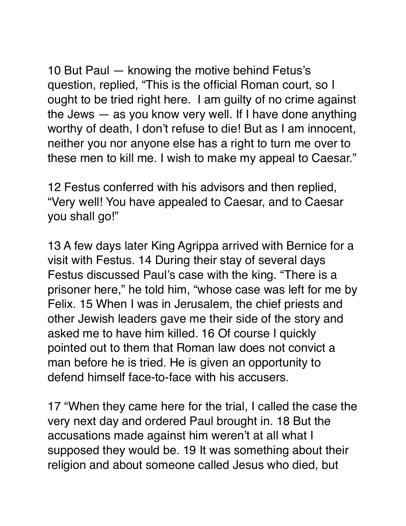10 But Paul — knowing the motive behind Fetus's question, replied, "This is the official Roman court, so I ought to be tried right here. I am guilty of no crime against the Jews — as you know very well. If I have done anything worthy of death, I don't refuse to die! But as I am innocent, neither you nor anyone else has a right to turn me over to these men to kill me. I wish to make my appeal to Caesar."

12 Festus conferred with his advisors and then replied, "Very well! You have appealed to Caesar, and to Caesar you shall go!"

13 A few days later King Agrippa arrived with Bernice for a visit with Festus. 14 During their stay of several days Festus discussed Paul's case with the king. "There is a prisoner here," he told him, "whose case was left for me by Felix. 15 When I was in Jerusalem, the chief priests and other Jewish leaders gave me their side of the story and asked me to have him killed. 16 Of course I quickly pointed out to them that Roman law does not convict a man before he is tried. He is given an opportunity to defend himself face-to-face with his accusers.

17 "When they came here for the trial, I called the case the very next day and ordered Paul brought in. 18 But the accusations made against him weren't at all what I supposed they would be. 19 It was something about their religion and about someone called Jesus who died, but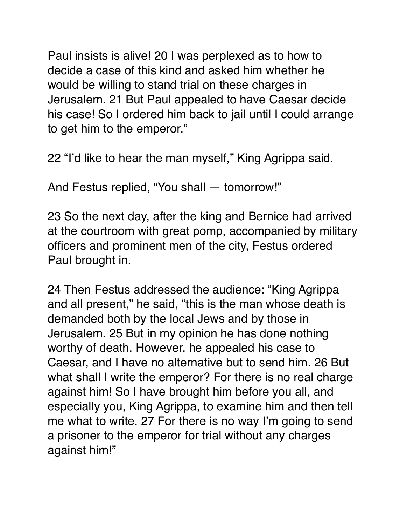Paul insists is alive! 20 I was perplexed as to how to decide a case of this kind and asked him whether he would be willing to stand trial on these charges in Jerusalem. 21 But Paul appealed to have Caesar decide his case! So I ordered him back to jail until I could arrange to get him to the emperor."

22 "I'd like to hear the man myself," King Agrippa said.

And Festus replied, "You shall — tomorrow!"

23 So the next day, after the king and Bernice had arrived at the courtroom with great pomp, accompanied by military officers and prominent men of the city, Festus ordered Paul brought in.

24 Then Festus addressed the audience: "King Agrippa and all present," he said, "this is the man whose death is demanded both by the local Jews and by those in Jerusalem. 25 But in my opinion he has done nothing worthy of death. However, he appealed his case to Caesar, and I have no alternative but to send him. 26 But what shall I write the emperor? For there is no real charge against him! So I have brought him before you all, and especially you, King Agrippa, to examine him and then tell me what to write. 27 For there is no way I'm going to send a prisoner to the emperor for trial without any charges against him!"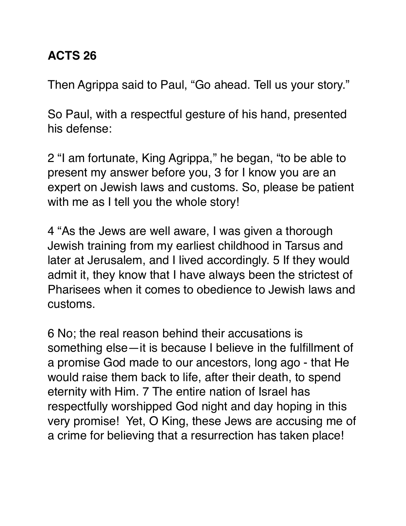#### **ACTS 26**

Then Agrippa said to Paul, "Go ahead. Tell us your story."

So Paul, with a respectful gesture of his hand, presented his defense:

2 "I am fortunate, King Agrippa," he began, "to be able to present my answer before you, 3 for I know you are an expert on Jewish laws and customs. So, please be patient with me as I tell you the whole story!

4 "As the Jews are well aware, I was given a thorough Jewish training from my earliest childhood in Tarsus and later at Jerusalem, and I lived accordingly. 5 If they would admit it, they know that I have always been the strictest of Pharisees when it comes to obedience to Jewish laws and customs.

6 No; the real reason behind their accusations is something else—it is because I believe in the fulfillment of a promise God made to our ancestors, long ago - that He would raise them back to life, after their death, to spend eternity with Him. 7 The entire nation of Israel has respectfully worshipped God night and day hoping in this very promise! Yet, O King, these Jews are accusing me of a crime for believing that a resurrection has taken place!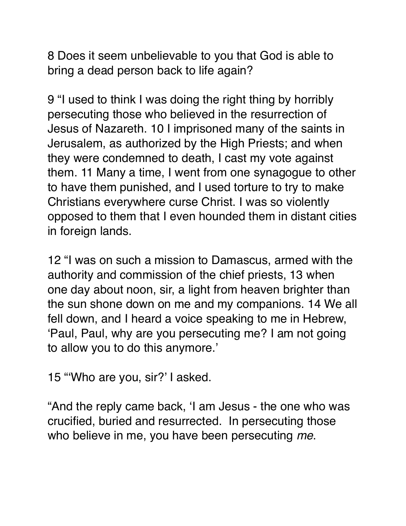8 Does it seem unbelievable to you that God is able to bring a dead person back to life again?

9 "I used to think I was doing the right thing by horribly persecuting those who believed in the resurrection of Jesus of Nazareth. 10 I imprisoned many of the saints in Jerusalem, as authorized by the High Priests; and when they were condemned to death, I cast my vote against them. 11 Many a time, I went from one synagogue to other to have them punished, and I used torture to try to make Christians everywhere curse Christ. I was so violently opposed to them that I even hounded them in distant cities in foreign lands.

12 "I was on such a mission to Damascus, armed with the authority and commission of the chief priests, 13 when one day about noon, sir, a light from heaven brighter than the sun shone down on me and my companions. 14 We all fell down, and I heard a voice speaking to me in Hebrew, 'Paul, Paul, why are you persecuting me? I am not going to allow you to do this anymore.'

15 "'Who are you, sir?' I asked.

"And the reply came back, 'I am Jesus - the one who was crucified, buried and resurrected. In persecuting those who believe in me, you have been persecuting *me*.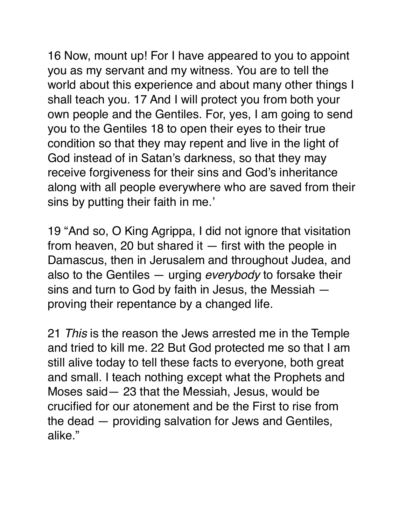16 Now, mount up! For I have appeared to you to appoint you as my servant and my witness. You are to tell the world about this experience and about many other things I shall teach you. 17 And I will protect you from both your own people and the Gentiles. For, yes, I am going to send you to the Gentiles 18 to open their eyes to their true condition so that they may repent and live in the light of God instead of in Satan's darkness, so that they may receive forgiveness for their sins and God's inheritance along with all people everywhere who are saved from their sins by putting their faith in me.'

19 "And so, O King Agrippa, I did not ignore that visitation from heaven, 20 but shared it  $-$  first with the people in Damascus, then in Jerusalem and throughout Judea, and also to the Gentiles — urging *everybody* to forsake their sins and turn to God by faith in Jesus, the Messiah proving their repentance by a changed life.

21 *This* is the reason the Jews arrested me in the Temple and tried to kill me. 22 But God protected me so that I am still alive today to tell these facts to everyone, both great and small. I teach nothing except what the Prophets and Moses said— 23 that the Messiah, Jesus, would be crucified for our atonement and be the First to rise from the dead — providing salvation for Jews and Gentiles, alike."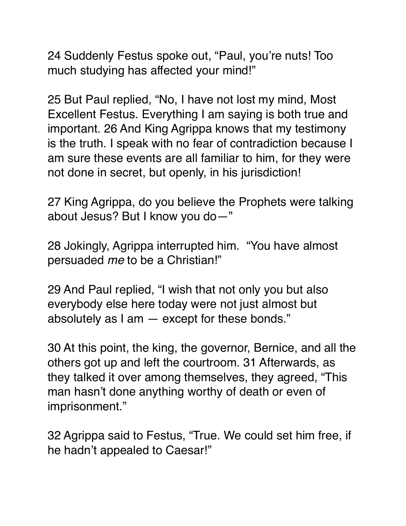24 Suddenly Festus spoke out, "Paul, you're nuts! Too much studying has affected your mind!"

25 But Paul replied, "No, I have not lost my mind, Most Excellent Festus. Everything I am saying is both true and important. 26 And King Agrippa knows that my testimony is the truth. I speak with no fear of contradiction because I am sure these events are all familiar to him, for they were not done in secret, but openly, in his jurisdiction!

27 King Agrippa, do you believe the Prophets were talking about Jesus? But I know you do—"

28 Jokingly, Agrippa interrupted him. "You have almost persuaded *me* to be a Christian!"

29 And Paul replied, "I wish that not only you but also everybody else here today were not just almost but absolutely as I am — except for these bonds."

30 At this point, the king, the governor, Bernice, and all the others got up and left the courtroom. 31 Afterwards, as they talked it over among themselves, they agreed, "This man hasn't done anything worthy of death or even of imprisonment."

32 Agrippa said to Festus, "True. We could set him free, if he hadn't appealed to Caesar!"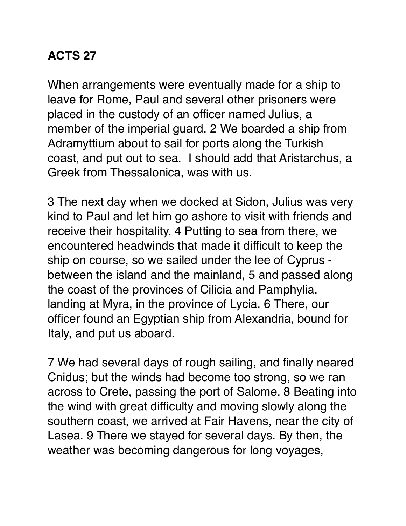## **ACTS 27**

When arrangements were eventually made for a ship to leave for Rome, Paul and several other prisoners were placed in the custody of an officer named Julius, a member of the imperial guard. 2 We boarded a ship from Adramyttium about to sail for ports along the Turkish coast, and put out to sea. I should add that Aristarchus, a Greek from Thessalonica, was with us.

3 The next day when we docked at Sidon, Julius was very kind to Paul and let him go ashore to visit with friends and receive their hospitality. 4 Putting to sea from there, we encountered headwinds that made it difficult to keep the ship on course, so we sailed under the lee of Cyprus between the island and the mainland, 5 and passed along the coast of the provinces of Cilicia and Pamphylia, landing at Myra, in the province of Lycia. 6 There, our officer found an Egyptian ship from Alexandria, bound for Italy, and put us aboard.

7 We had several days of rough sailing, and finally neared Cnidus; but the winds had become too strong, so we ran across to Crete, passing the port of Salome. 8 Beating into the wind with great difficulty and moving slowly along the southern coast, we arrived at Fair Havens, near the city of Lasea. 9 There we stayed for several days. By then, the weather was becoming dangerous for long voyages,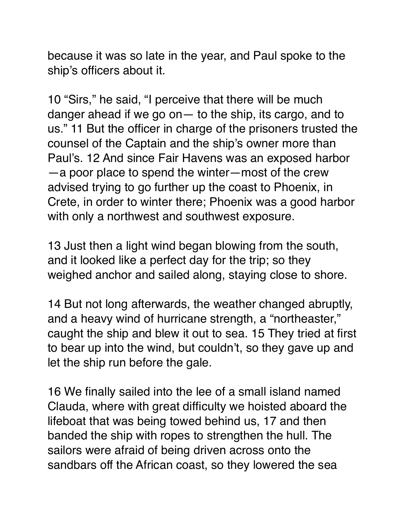because it was so late in the year, and Paul spoke to the ship's officers about it.

10 "Sirs," he said, "I perceive that there will be much danger ahead if we go on— to the ship, its cargo, and to us." 11 But the officer in charge of the prisoners trusted the counsel of the Captain and the ship's owner more than Paul's. 12 And since Fair Havens was an exposed harbor —a poor place to spend the winter—most of the crew advised trying to go further up the coast to Phoenix, in Crete, in order to winter there; Phoenix was a good harbor with only a northwest and southwest exposure.

13 Just then a light wind began blowing from the south, and it looked like a perfect day for the trip; so they weighed anchor and sailed along, staying close to shore.

14 But not long afterwards, the weather changed abruptly, and a heavy wind of hurricane strength, a "northeaster," caught the ship and blew it out to sea. 15 They tried at first to bear up into the wind, but couldn't, so they gave up and let the ship run before the gale.

16 We finally sailed into the lee of a small island named Clauda, where with great difficulty we hoisted aboard the lifeboat that was being towed behind us, 17 and then banded the ship with ropes to strengthen the hull. The sailors were afraid of being driven across onto the sandbars off the African coast, so they lowered the sea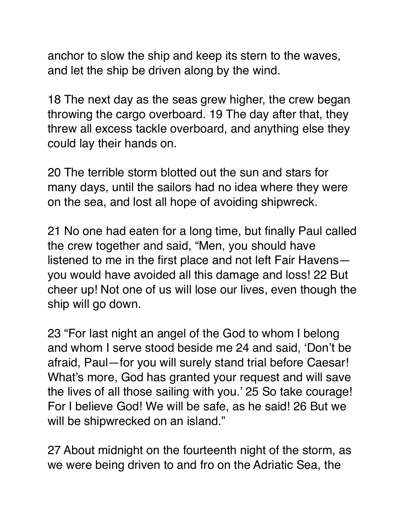anchor to slow the ship and keep its stern to the waves, and let the ship be driven along by the wind.

18 The next day as the seas grew higher, the crew began throwing the cargo overboard. 19 The day after that, they threw all excess tackle overboard, and anything else they could lay their hands on.

20 The terrible storm blotted out the sun and stars for many days, until the sailors had no idea where they were on the sea, and lost all hope of avoiding shipwreck.

21 No one had eaten for a long time, but finally Paul called the crew together and said, "Men, you should have listened to me in the first place and not left Fair Havens you would have avoided all this damage and loss! 22 But cheer up! Not one of us will lose our lives, even though the ship will go down.

23 "For last night an angel of the God to whom I belong and whom I serve stood beside me 24 and said, 'Don't be afraid, Paul—for you will surely stand trial before Caesar! What's more, God has granted your request and will save the lives of all those sailing with you.' 25 So take courage! For I believe God! We will be safe, as he said! 26 But we will be shipwrecked on an island."

27 About midnight on the fourteenth night of the storm, as we were being driven to and fro on the Adriatic Sea, the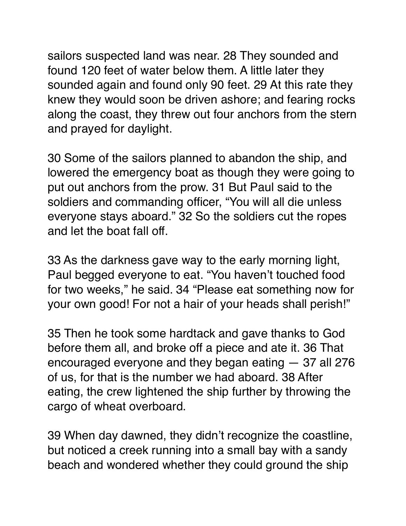sailors suspected land was near. 28 They sounded and found 120 feet of water below them. A little later they sounded again and found only 90 feet. 29 At this rate they knew they would soon be driven ashore; and fearing rocks along the coast, they threw out four anchors from the stern and prayed for daylight.

30 Some of the sailors planned to abandon the ship, and lowered the emergency boat as though they were going to put out anchors from the prow. 31 But Paul said to the soldiers and commanding officer, "You will all die unless everyone stays aboard." 32 So the soldiers cut the ropes and let the boat fall off.

33 As the darkness gave way to the early morning light, Paul begged everyone to eat. "You haven't touched food for two weeks," he said. 34 "Please eat something now for your own good! For not a hair of your heads shall perish!"

35 Then he took some hardtack and gave thanks to God before them all, and broke off a piece and ate it. 36 That encouraged everyone and they began eating — 37 all 276 of us, for that is the number we had aboard. 38 After eating, the crew lightened the ship further by throwing the cargo of wheat overboard.

39 When day dawned, they didn't recognize the coastline, but noticed a creek running into a small bay with a sandy beach and wondered whether they could ground the ship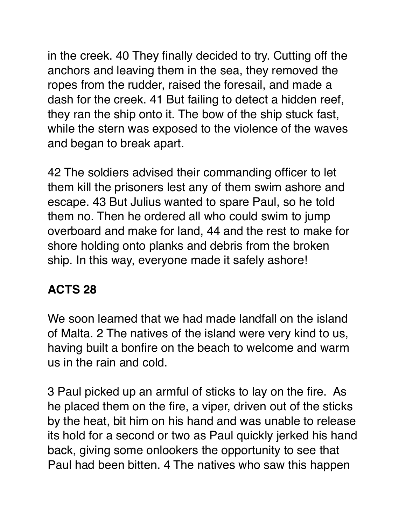in the creek. 40 They finally decided to try. Cutting off the anchors and leaving them in the sea, they removed the ropes from the rudder, raised the foresail, and made a dash for the creek. 41 But failing to detect a hidden reef, they ran the ship onto it. The bow of the ship stuck fast, while the stern was exposed to the violence of the waves and began to break apart.

42 The soldiers advised their commanding officer to let them kill the prisoners lest any of them swim ashore and escape. 43 But Julius wanted to spare Paul, so he told them no. Then he ordered all who could swim to jump overboard and make for land, 44 and the rest to make for shore holding onto planks and debris from the broken ship. In this way, everyone made it safely ashore!

## **ACTS 28**

We soon learned that we had made landfall on the island of Malta. 2 The natives of the island were very kind to us, having built a bonfire on the beach to welcome and warm us in the rain and cold.

3 Paul picked up an armful of sticks to lay on the fire. As he placed them on the fire, a viper, driven out of the sticks by the heat, bit him on his hand and was unable to release its hold for a second or two as Paul quickly jerked his hand back, giving some onlookers the opportunity to see that Paul had been bitten. 4 The natives who saw this happen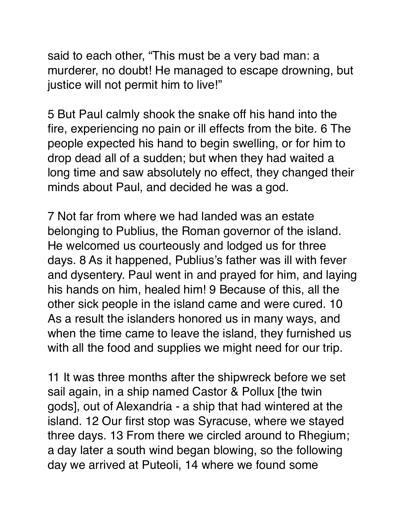said to each other, "This must be a very bad man: a murderer, no doubt! He managed to escape drowning, but justice will not permit him to live!"

5 But Paul calmly shook the snake off his hand into the fire, experiencing no pain or ill effects from the bite. 6 The people expected his hand to begin swelling, or for him to drop dead all of a sudden; but when they had waited a long time and saw absolutely no effect, they changed their minds about Paul, and decided he was a god.

7 Not far from where we had landed was an estate belonging to Publius, the Roman governor of the island. He welcomed us courteously and lodged us for three days. 8 As it happened, Publius's father was ill with fever and dysentery. Paul went in and prayed for him, and laying his hands on him, healed him! 9 Because of this, all the other sick people in the island came and were cured. 10 As a result the islanders honored us in many ways, and when the time came to leave the island, they furnished us with all the food and supplies we might need for our trip.

11 It was three months after the shipwreck before we set sail again, in a ship named Castor & Pollux [the twin gods], out of Alexandria - a ship that had wintered at the island. 12 Our first stop was Syracuse, where we stayed three days. 13 From there we circled around to Rhegium; a day later a south wind began blowing, so the following day we arrived at Puteoli, 14 where we found some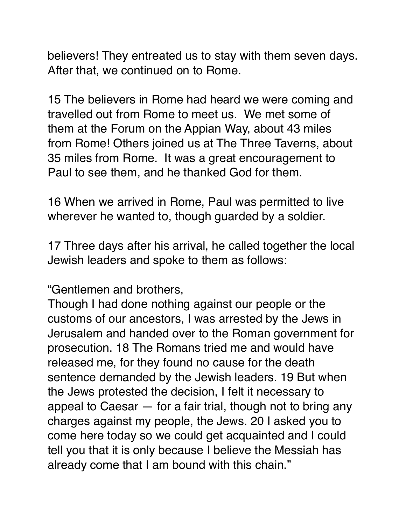believers! They entreated us to stay with them seven days. After that, we continued on to Rome.

15 The believers in Rome had heard we were coming and travelled out from Rome to meet us. We met some of them at the Forum on the Appian Way, about 43 miles from Rome! Others joined us at The Three Taverns, about 35 miles from Rome. It was a great encouragement to Paul to see them, and he thanked God for them.

16 When we arrived in Rome, Paul was permitted to live wherever he wanted to, though guarded by a soldier.

17 Three days after his arrival, he called together the local Jewish leaders and spoke to them as follows:

"Gentlemen and brothers,

Though I had done nothing against our people or the customs of our ancestors, I was arrested by the Jews in Jerusalem and handed over to the Roman government for prosecution. 18 The Romans tried me and would have released me, for they found no cause for the death sentence demanded by the Jewish leaders. 19 But when the Jews protested the decision, I felt it necessary to appeal to Caesar — for a fair trial, though not to bring any charges against my people, the Jews. 20 I asked you to come here today so we could get acquainted and I could tell you that it is only because I believe the Messiah has already come that I am bound with this chain."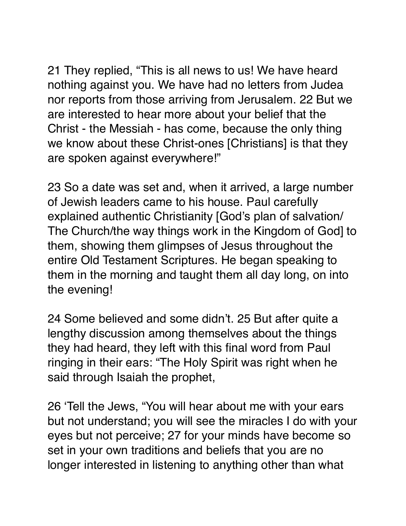21 They replied, "This is all news to us! We have heard nothing against you. We have had no letters from Judea nor reports from those arriving from Jerusalem. 22 But we are interested to hear more about your belief that the Christ - the Messiah - has come, because the only thing we know about these Christ-ones [Christians] is that they are spoken against everywhere!"

23 So a date was set and, when it arrived, a large number of Jewish leaders came to his house. Paul carefully explained authentic Christianity [God's plan of salvation/ The Church/the way things work in the Kingdom of God] to them, showing them glimpses of Jesus throughout the entire Old Testament Scriptures. He began speaking to them in the morning and taught them all day long, on into the evening!

24 Some believed and some didn't. 25 But after quite a lengthy discussion among themselves about the things they had heard, they left with this final word from Paul ringing in their ears: "The Holy Spirit was right when he said through Isaiah the prophet,

26 'Tell the Jews, "You will hear about me with your ears but not understand; you will see the miracles I do with your eyes but not perceive; 27 for your minds have become so set in your own traditions and beliefs that you are no longer interested in listening to anything other than what